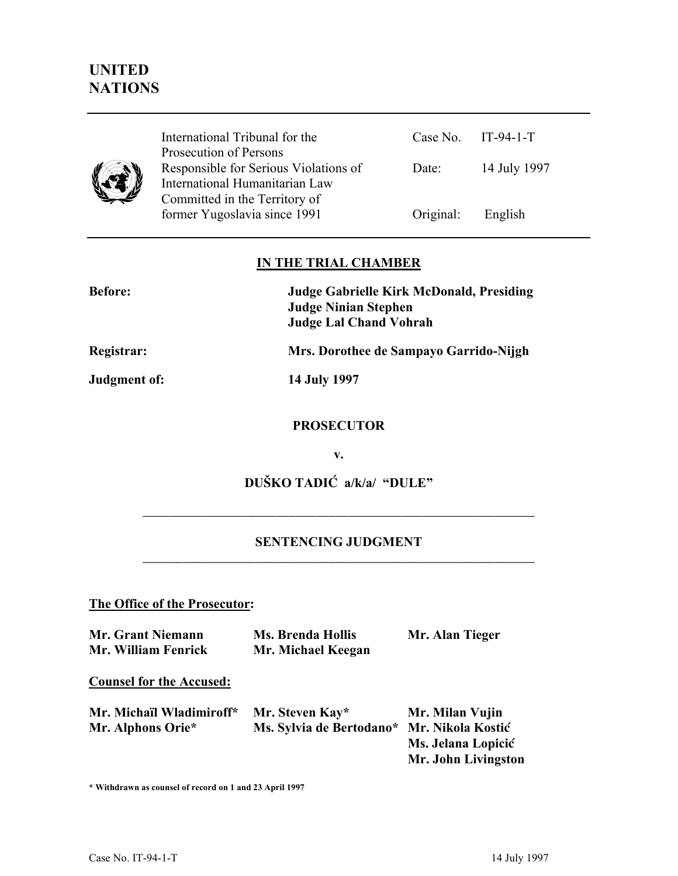|--|

International Tribunal for the Prosecution of Persons Responsible for Serious Violations of International Humanitarian Law Committed in the Territory of former Yugoslavia since 1991 Case No. IT-94-1-T Date: 14 July 1997 Original: English

### **IN THE TRIAL CHAMBER**

| <b>Before:</b> | Judge Gabrielle Kirk McDonald, Presiding |
|----------------|------------------------------------------|
|                | <b>Judge Ninian Stephen</b>              |
|                | <b>Judge Lal Chand Vohrah</b>            |
|                |                                          |

**Registrar: Mrs. Dorothee de Sampayo Garrido-Nijgh**

**Judgment of: 14 July 1997**

### **PROSECUTOR**

**v.**

**DU[KO TADI] a/k/a/ "DULE"**

**\_\_\_\_\_\_\_\_\_\_\_\_\_\_\_\_\_\_\_\_\_\_\_\_\_\_\_\_\_\_\_\_\_\_\_\_\_\_\_\_\_\_\_\_\_\_\_\_\_\_\_\_\_\_\_\_\_\_\_**

### **SENTENCING JUDGMENT \_\_\_\_\_\_\_\_\_\_\_\_\_\_\_\_\_\_\_\_\_\_\_\_\_\_\_\_\_\_\_\_\_\_\_\_\_\_\_\_\_\_\_\_\_\_\_\_\_\_\_\_\_\_\_\_\_\_\_**

### **The Office of the Prosecutor:**

| Mr. Grant Niemann   | <b>Ms. Brenda Hollis</b> | Mr. Alan Tieger |
|---------------------|--------------------------|-----------------|
| Mr. William Fenrick | Mr. Michael Keegan       |                 |

**Counsel for the Accused:**

| Mr. Michaïl Wladimiroff* | Mr. Steven Kay*                            | Mr. Milan Vujin     |
|--------------------------|--------------------------------------------|---------------------|
| Mr. Alphons Orie*        | Ms. Sylvia de Bertodano* Mr. Nikola Kostić |                     |
|                          |                                            | Ms. Jelana Lopicić  |
|                          |                                            | Mr. John Livingston |

**\* Withdrawn as counsel of record on 1 and 23 April 1997**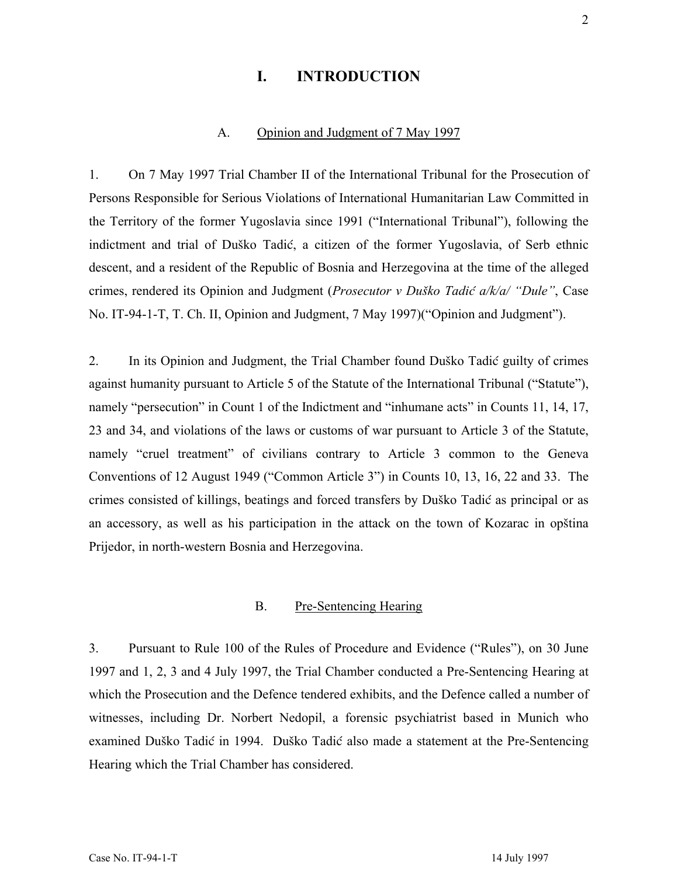### **I. INTRODUCTION**

#### A. Opinion and Judgment of 7 May 1997

1. On 7 May 1997 Trial Chamber II of the International Tribunal for the Prosecution of Persons Responsible for Serious Violations of International Humanitarian Law Committed in the Territory of the former Yugoslavia since 1991 ("International Tribunal"), following the indictment and trial of Duško Tadić, a citizen of the former Yugoslavia, of Serb ethnic descent, and a resident of the Republic of Bosnia and Herzegovina at the time of the alleged crimes, rendered its Opinion and Judgment (*Prosecutor v Du{ko Tadi} a/k/a/ "Dule"*, Case No. IT-94-1-T, T. Ch. II, Opinion and Judgment, 7 May 1997)("Opinion and Judgment").

2. In its Opinion and Judgment, the Trial Chamber found Duško Tadić guilty of crimes against humanity pursuant to Article 5 of the Statute of the International Tribunal ("Statute"), namely "persecution" in Count 1 of the Indictment and "inhumane acts" in Counts 11, 14, 17, 23 and 34, and violations of the laws or customs of war pursuant to Article 3 of the Statute, namely "cruel treatment" of civilians contrary to Article 3 common to the Geneva Conventions of 12 August 1949 ("Common Article 3") in Counts 10, 13, 16, 22 and 33. The crimes consisted of killings, beatings and forced transfers by Duško Tadić as principal or as an accessory, as well as his participation in the attack on the town of Kozarac in op<sub>s</sub>tina Prijedor, in north-western Bosnia and Herzegovina.

#### B. Pre-Sentencing Hearing

3. Pursuant to Rule 100 of the Rules of Procedure and Evidence ("Rules"), on 30 June 1997 and 1, 2, 3 and 4 July 1997, the Trial Chamber conducted a Pre-Sentencing Hearing at which the Prosecution and the Defence tendered exhibits, and the Defence called a number of witnesses, including Dr. Norbert Nedopil, a forensic psychiatrist based in Munich who examined Duško Tadić in 1994. Duško Tadić also made a statement at the Pre-Sentencing Hearing which the Trial Chamber has considered.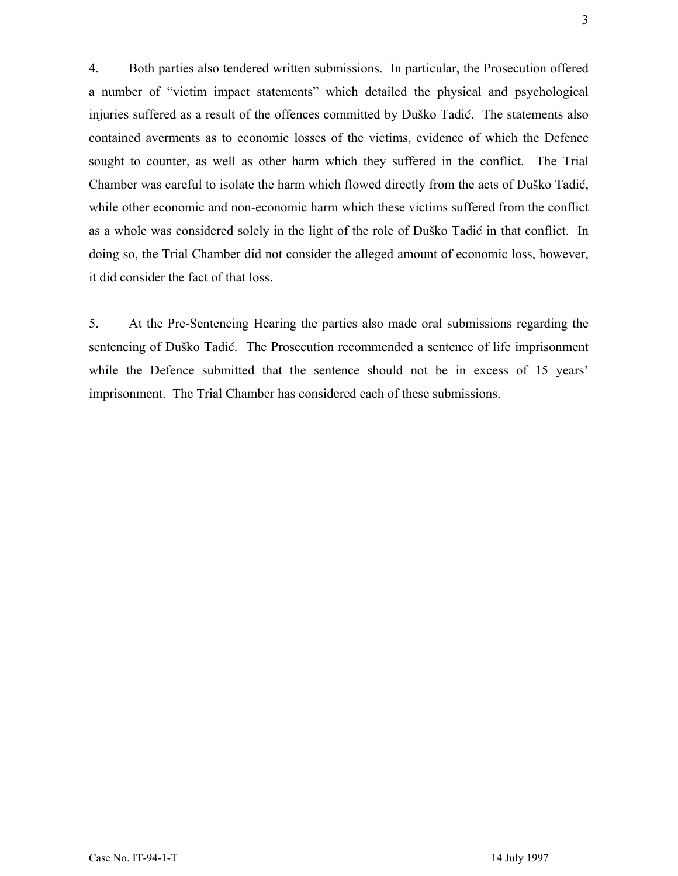4. Both parties also tendered written submissions. In particular, the Prosecution offered a number of "victim impact statements" which detailed the physical and psychological injuries suffered as a result of the offences committed by Duško Tadić. The statements also contained averments as to economic losses of the victims, evidence of which the Defence sought to counter, as well as other harm which they suffered in the conflict. The Trial Chamber was careful to isolate the harm which flowed directly from the acts of Duško Tadić, while other economic and non-economic harm which these victims suffered from the conflict as a whole was considered solely in the light of the role of Duško Tadić in that conflict. In doing so, the Trial Chamber did not consider the alleged amount of economic loss, however, it did consider the fact of that loss.

5. At the Pre-Sentencing Hearing the parties also made oral submissions regarding the sentencing of Duško Tadić. The Prosecution recommended a sentence of life imprisonment while the Defence submitted that the sentence should not be in excess of 15 years' imprisonment. The Trial Chamber has considered each of these submissions.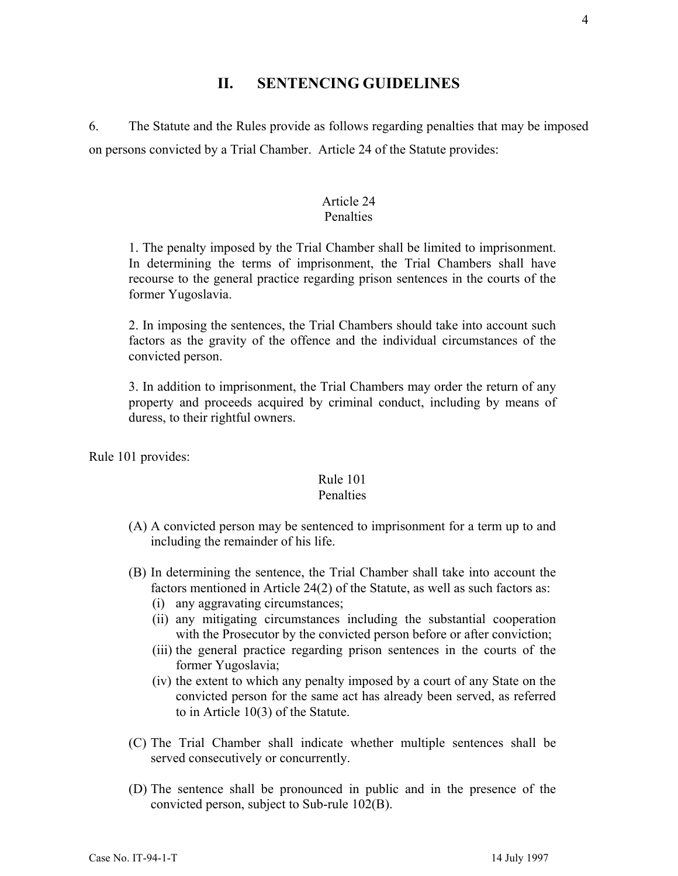# **II. SENTENCING GUIDELINES**

6. The Statute and the Rules provide as follows regarding penalties that may be imposed on persons convicted by a Trial Chamber. Article 24 of the Statute provides:

### Article 24 Penalties

1. The penalty imposed by the Trial Chamber shall be limited to imprisonment. In determining the terms of imprisonment, the Trial Chambers shall have recourse to the general practice regarding prison sentences in the courts of the former Yugoslavia.

2. In imposing the sentences, the Trial Chambers should take into account such factors as the gravity of the offence and the individual circumstances of the convicted person.

3. In addition to imprisonment, the Trial Chambers may order the return of any property and proceeds acquired by criminal conduct, including by means of duress, to their rightful owners.

Rule 101 provides:

# Rule 101

# Penalties

- (A) A convicted person may be sentenced to imprisonment for a term up to and including the remainder of his life.
- (B) In determining the sentence, the Trial Chamber shall take into account the factors mentioned in Article 24(2) of the Statute, as well as such factors as:
	- (i) any aggravating circumstances;
	- (ii) any mitigating circumstances including the substantial cooperation with the Prosecutor by the convicted person before or after conviction;
	- (iii) the general practice regarding prison sentences in the courts of the former Yugoslavia;
	- (iv) the extent to which any penalty imposed by a court of any State on the convicted person for the same act has already been served, as referred to in Article 10(3) of the Statute.
- (C) The Trial Chamber shall indicate whether multiple sentences shall be served consecutively or concurrently.
- (D) The sentence shall be pronounced in public and in the presence of the convicted person, subject to Sub-rule 102(B).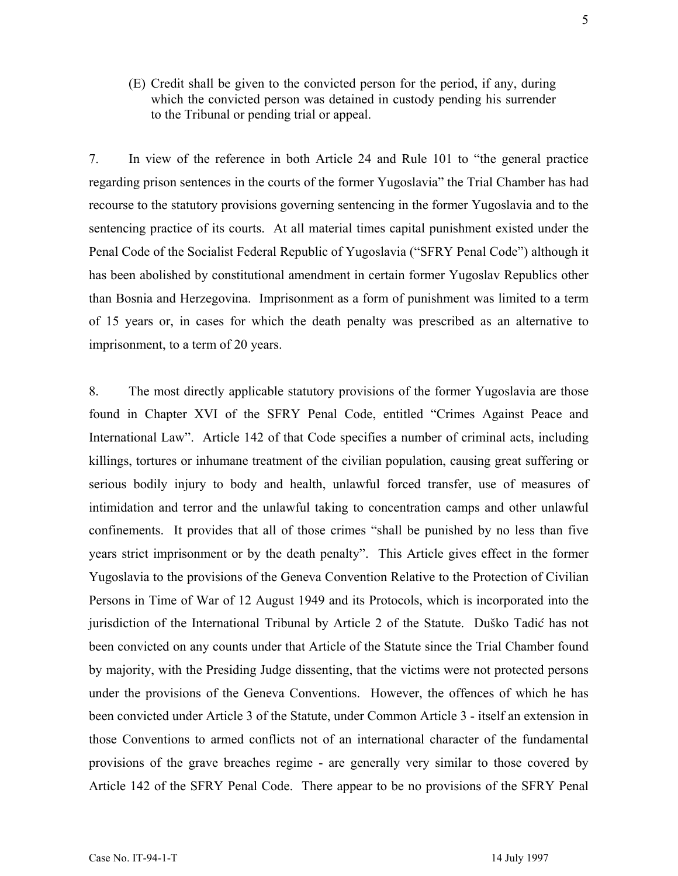(E) Credit shall be given to the convicted person for the period, if any, during which the convicted person was detained in custody pending his surrender to the Tribunal or pending trial or appeal.

7. In view of the reference in both Article 24 and Rule 101 to "the general practice regarding prison sentences in the courts of the former Yugoslavia" the Trial Chamber has had recourse to the statutory provisions governing sentencing in the former Yugoslavia and to the sentencing practice of its courts. At all material times capital punishment existed under the Penal Code of the Socialist Federal Republic of Yugoslavia ("SFRY Penal Code") although it has been abolished by constitutional amendment in certain former Yugoslav Republics other than Bosnia and Herzegovina. Imprisonment as a form of punishment was limited to a term of 15 years or, in cases for which the death penalty was prescribed as an alternative to imprisonment, to a term of 20 years.

8. The most directly applicable statutory provisions of the former Yugoslavia are those found in Chapter XVI of the SFRY Penal Code, entitled "Crimes Against Peace and International Law". Article 142 of that Code specifies a number of criminal acts, including killings, tortures or inhumane treatment of the civilian population, causing great suffering or serious bodily injury to body and health, unlawful forced transfer, use of measures of intimidation and terror and the unlawful taking to concentration camps and other unlawful confinements. It provides that all of those crimes "shall be punished by no less than five years strict imprisonment or by the death penalty". This Article gives effect in the former Yugoslavia to the provisions of the Geneva Convention Relative to the Protection of Civilian Persons in Time of War of 12 August 1949 and its Protocols, which is incorporated into the jurisdiction of the International Tribunal by Article 2 of the Statute. Duško Tadić has not been convicted on any counts under that Article of the Statute since the Trial Chamber found by majority, with the Presiding Judge dissenting, that the victims were not protected persons under the provisions of the Geneva Conventions. However, the offences of which he has been convicted under Article 3 of the Statute, under Common Article 3 - itself an extension in those Conventions to armed conflicts not of an international character of the fundamental provisions of the grave breaches regime - are generally very similar to those covered by Article 142 of the SFRY Penal Code. There appear to be no provisions of the SFRY Penal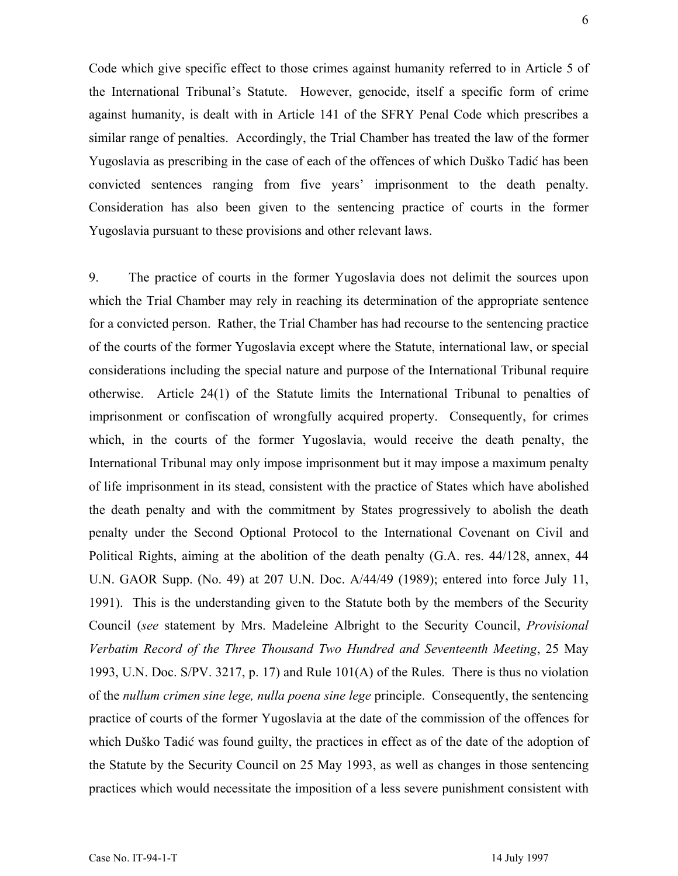Code which give specific effect to those crimes against humanity referred to in Article 5 of the International Tribunal's Statute. However, genocide, itself a specific form of crime against humanity, is dealt with in Article 141 of the SFRY Penal Code which prescribes a similar range of penalties. Accordingly, the Trial Chamber has treated the law of the former Yugoslavia as prescribing in the case of each of the offences of which Duško Tadić has been convicted sentences ranging from five years' imprisonment to the death penalty. Consideration has also been given to the sentencing practice of courts in the former Yugoslavia pursuant to these provisions and other relevant laws.

9. The practice of courts in the former Yugoslavia does not delimit the sources upon which the Trial Chamber may rely in reaching its determination of the appropriate sentence for a convicted person. Rather, the Trial Chamber has had recourse to the sentencing practice of the courts of the former Yugoslavia except where the Statute, international law, or special considerations including the special nature and purpose of the International Tribunal require otherwise. Article 24(1) of the Statute limits the International Tribunal to penalties of imprisonment or confiscation of wrongfully acquired property. Consequently, for crimes which, in the courts of the former Yugoslavia, would receive the death penalty, the International Tribunal may only impose imprisonment but it may impose a maximum penalty of life imprisonment in its stead, consistent with the practice of States which have abolished the death penalty and with the commitment by States progressively to abolish the death penalty under the Second Optional Protocol to the International Covenant on Civil and Political Rights, aiming at the abolition of the death penalty (G.A. res. 44/128, annex, 44 U.N. GAOR Supp. (No. 49) at 207 U.N. Doc. A/44/49 (1989); entered into force July 11, 1991). This is the understanding given to the Statute both by the members of the Security Council (*see* statement by Mrs. Madeleine Albright to the Security Council, *Provisional Verbatim Record of the Three Thousand Two Hundred and Seventeenth Meeting*, 25 May 1993, U.N. Doc. S/PV. 3217, p. 17) and Rule 101(A) of the Rules. There is thus no violation of the *nullum crimen sine lege, nulla poena sine lege* principle. Consequently, the sentencing practice of courts of the former Yugoslavia at the date of the commission of the offences for which Duško Tadić was found guilty, the practices in effect as of the date of the adoption of the Statute by the Security Council on 25 May 1993, as well as changes in those sentencing practices which would necessitate the imposition of a less severe punishment consistent with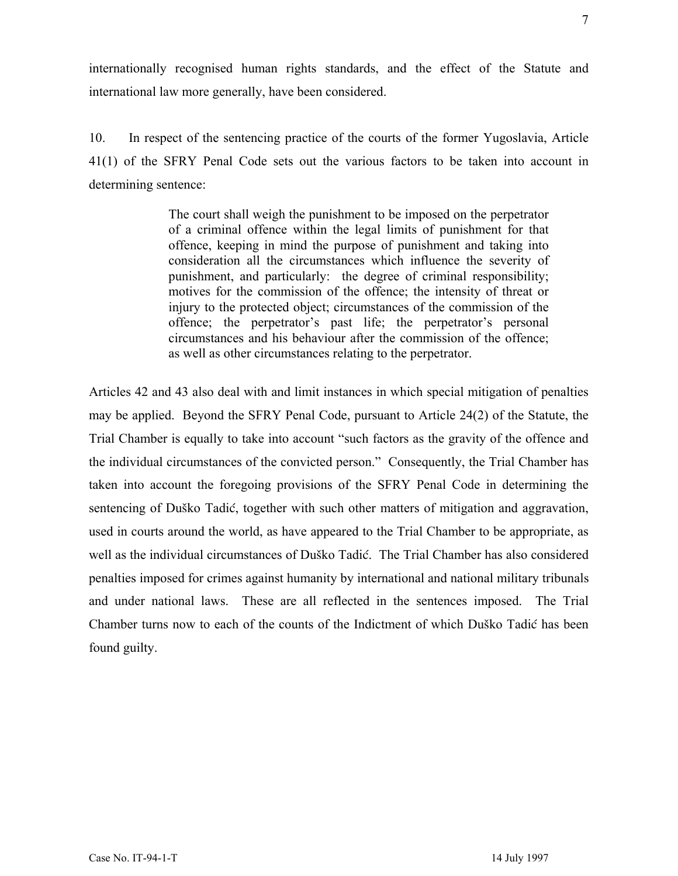internationally recognised human rights standards, and the effect of the Statute and international law more generally, have been considered.

10. In respect of the sentencing practice of the courts of the former Yugoslavia, Article 41(1) of the SFRY Penal Code sets out the various factors to be taken into account in determining sentence:

> The court shall weigh the punishment to be imposed on the perpetrator of a criminal offence within the legal limits of punishment for that offence, keeping in mind the purpose of punishment and taking into consideration all the circumstances which influence the severity of punishment, and particularly: the degree of criminal responsibility; motives for the commission of the offence; the intensity of threat or injury to the protected object; circumstances of the commission of the offence; the perpetrator's past life; the perpetrator's personal circumstances and his behaviour after the commission of the offence; as well as other circumstances relating to the perpetrator.

Articles 42 and 43 also deal with and limit instances in which special mitigation of penalties may be applied. Beyond the SFRY Penal Code, pursuant to Article 24(2) of the Statute, the Trial Chamber is equally to take into account "such factors as the gravity of the offence and the individual circumstances of the convicted person." Consequently, the Trial Chamber has taken into account the foregoing provisions of the SFRY Penal Code in determining the sentencing of Duško Tadić, together with such other matters of mitigation and aggravation, used in courts around the world, as have appeared to the Trial Chamber to be appropriate, as well as the individual circumstances of Duško Tadić. The Trial Chamber has also considered penalties imposed for crimes against humanity by international and national military tribunals and under national laws. These are all reflected in the sentences imposed. The Trial Chamber turns now to each of the counts of the Indictment of which Duško Tadić has been found guilty.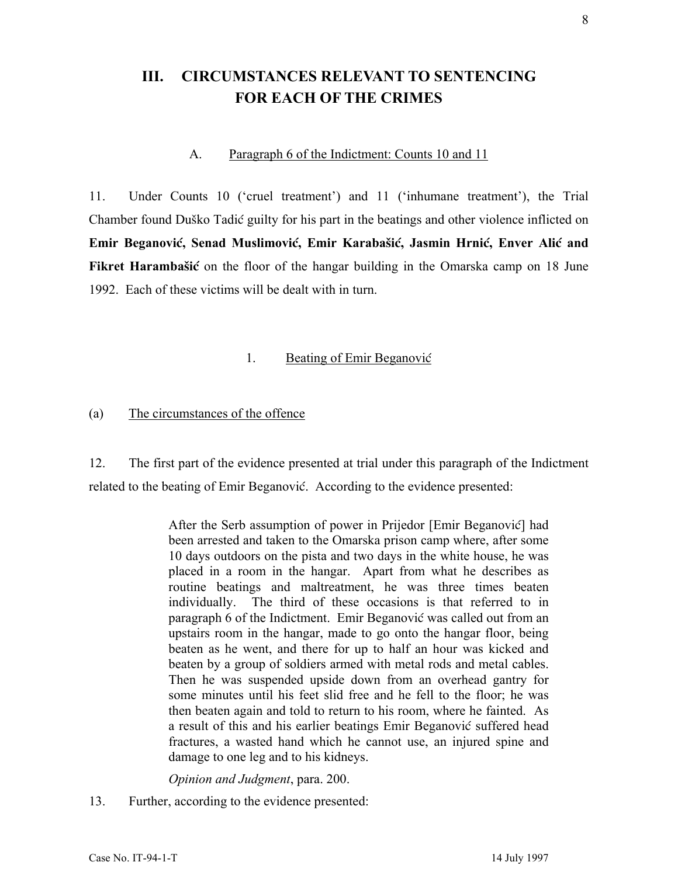# **III. CIRCUMSTANCES RELEVANT TO SENTENCING FOR EACH OF THE CRIMES**

### A. Paragraph 6 of the Indictment: Counts 10 and 11

11. Under Counts 10 ('cruel treatment') and 11 ('inhumane treatment'), the Trial Chamber found Duško Tadić guilty for his part in the beatings and other violence inflicted on **Emir Beganovi}, Senad Muslimovi}, Emir Karaba{i}, Jasmin Hrni}, Enver Ali} and Fikret Haramba{i}** on the floor of the hangar building in the Omarska camp on 18 June 1992. Each of these victims will be dealt with in turn.

### 1. Beating of Emir Beganovic

### (a) The circumstances of the offence

12. The first part of the evidence presented at trial under this paragraph of the Indictment related to the beating of Emir Beganović. According to the evidence presented:

> After the Serb assumption of power in Prijedor [Emir Beganović] had been arrested and taken to the Omarska prison camp where, after some 10 days outdoors on the pista and two days in the white house, he was placed in a room in the hangar. Apart from what he describes as routine beatings and maltreatment, he was three times beaten individually. The third of these occasions is that referred to in paragraph 6 of the Indictment. Emir Beganović was called out from an upstairs room in the hangar, made to go onto the hangar floor, being beaten as he went, and there for up to half an hour was kicked and beaten by a group of soldiers armed with metal rods and metal cables. Then he was suspended upside down from an overhead gantry for some minutes until his feet slid free and he fell to the floor; he was then beaten again and told to return to his room, where he fainted. As a result of this and his earlier beatings Emir Beganović suffered head fractures, a wasted hand which he cannot use, an injured spine and damage to one leg and to his kidneys.

*Opinion and Judgment*, para. 200.

13. Further, according to the evidence presented: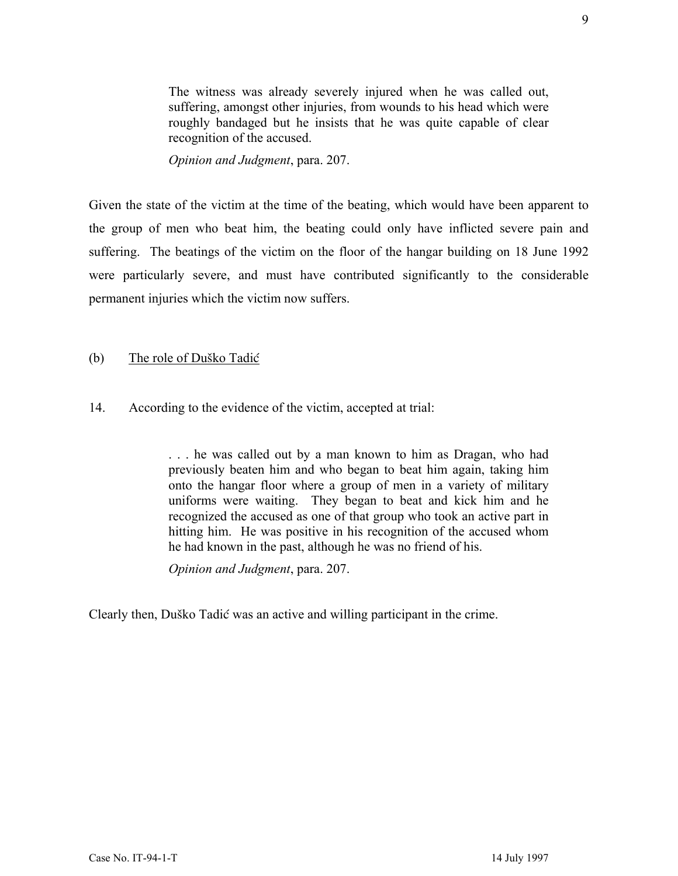The witness was already severely injured when he was called out, suffering, amongst other injuries, from wounds to his head which were roughly bandaged but he insists that he was quite capable of clear recognition of the accused.

*Opinion and Judgment*, para. 207.

Given the state of the victim at the time of the beating, which would have been apparent to the group of men who beat him, the beating could only have inflicted severe pain and suffering. The beatings of the victim on the floor of the hangar building on 18 June 1992 were particularly severe, and must have contributed significantly to the considerable permanent injuries which the victim now suffers.

### (b) The role of Duško Tadić

14. According to the evidence of the victim, accepted at trial:

. . . he was called out by a man known to him as Dragan, who had previously beaten him and who began to beat him again, taking him onto the hangar floor where a group of men in a variety of military uniforms were waiting. They began to beat and kick him and he recognized the accused as one of that group who took an active part in hitting him. He was positive in his recognition of the accused whom he had known in the past, although he was no friend of his.

*Opinion and Judgment*, para. 207.

Clearly then, Duško Tadić was an active and willing participant in the crime.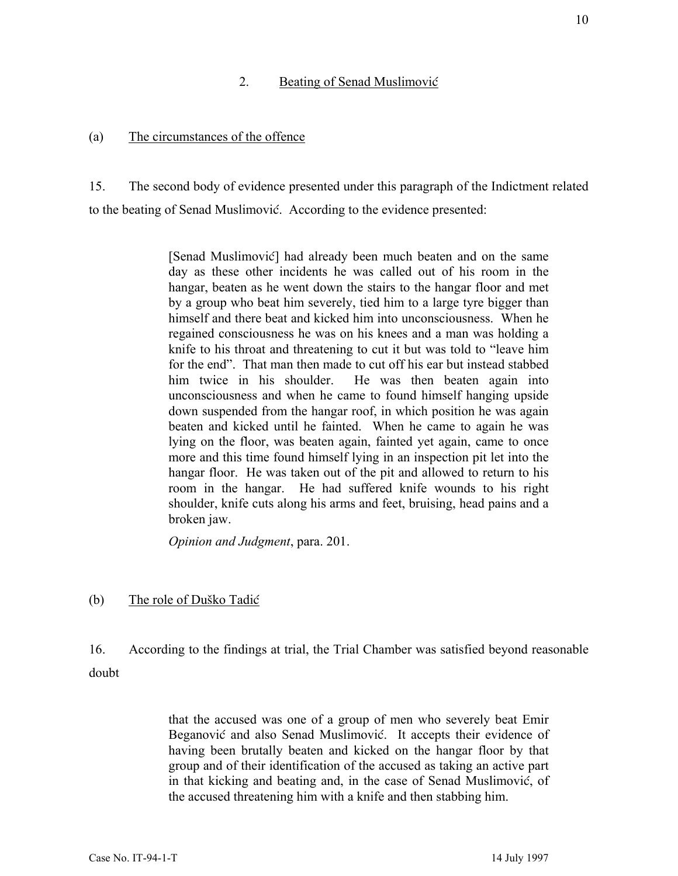# 2. Beating of Senad Muslimović

### (a) The circumstances of the offence

15. The second body of evidence presented under this paragraph of the Indictment related to the beating of Senad Muslimović. According to the evidence presented:

> [Senad Muslimović] had already been much beaten and on the same day as these other incidents he was called out of his room in the hangar, beaten as he went down the stairs to the hangar floor and met by a group who beat him severely, tied him to a large tyre bigger than himself and there beat and kicked him into unconsciousness. When he regained consciousness he was on his knees and a man was holding a knife to his throat and threatening to cut it but was told to "leave him for the end". That man then made to cut off his ear but instead stabbed him twice in his shoulder. He was then beaten again into unconsciousness and when he came to found himself hanging upside down suspended from the hangar roof, in which position he was again beaten and kicked until he fainted. When he came to again he was lying on the floor, was beaten again, fainted yet again, came to once more and this time found himself lying in an inspection pit let into the hangar floor. He was taken out of the pit and allowed to return to his room in the hangar. He had suffered knife wounds to his right shoulder, knife cuts along his arms and feet, bruising, head pains and a broken jaw.

*Opinion and Judgment*, para. 201.

(b) The role of Duško Tadić

16. According to the findings at trial, the Trial Chamber was satisfied beyond reasonable doubt

> that the accused was one of a group of men who severely beat Emir Beganović and also Senad Muslimović. It accepts their evidence of having been brutally beaten and kicked on the hangar floor by that group and of their identification of the accused as taking an active part in that kicking and beating and, in the case of Senad Muslimović, of the accused threatening him with a knife and then stabbing him.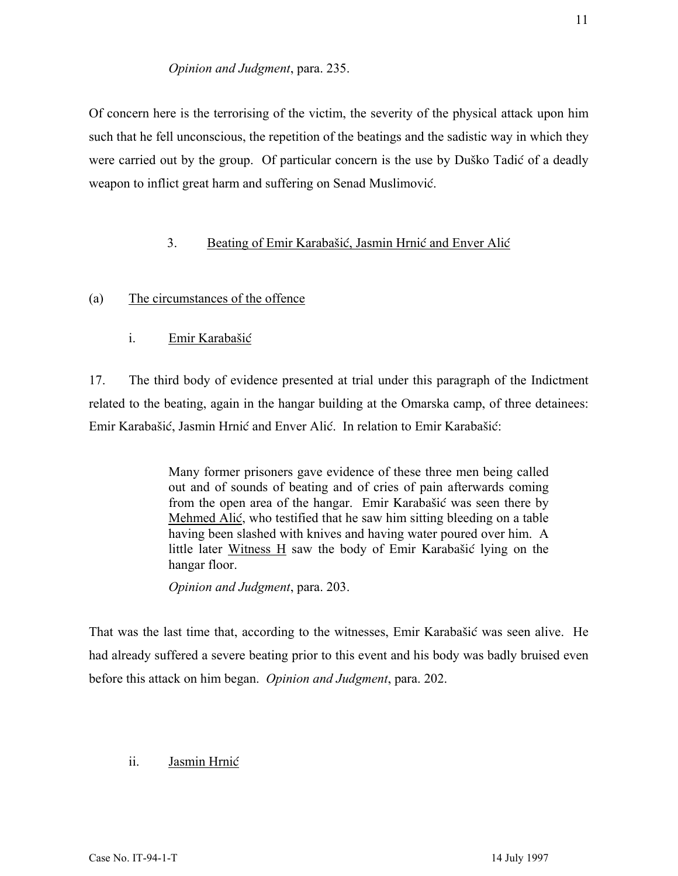Of concern here is the terrorising of the victim, the severity of the physical attack upon him such that he fell unconscious, the repetition of the beatings and the sadistic way in which they were carried out by the group. Of particular concern is the use by Duško Tadić of a deadly weapon to inflict great harm and suffering on Senad Muslimović.

# 3. Beating of Emir Karabašić, Jasmin Hrnić and Enver Alić

# (a) The circumstances of the offence

i. Emir Karabašić

17. The third body of evidence presented at trial under this paragraph of the Indictment related to the beating, again in the hangar building at the Omarska camp, of three detainees: Emir Karabašić, Jasmin Hrnić and Enver Alić. In relation to Emir Karabašić:

> Many former prisoners gave evidence of these three men being called out and of sounds of beating and of cries of pain afterwards coming from the open area of the hangar. Emir Karabašić was seen there by Mehmed Alić, who testified that he saw him sitting bleeding on a table having been slashed with knives and having water poured over him. A little later Witness H saw the body of Emir Karabašić lying on the hangar floor.

*Opinion and Judgment*, para. 203.

That was the last time that, according to the witnesses, Emir Karabašić was seen alive. He had already suffered a severe beating prior to this event and his body was badly bruised even before this attack on him began. *Opinion and Judgment*, para. 202.

# ii. Jasmin Hrnić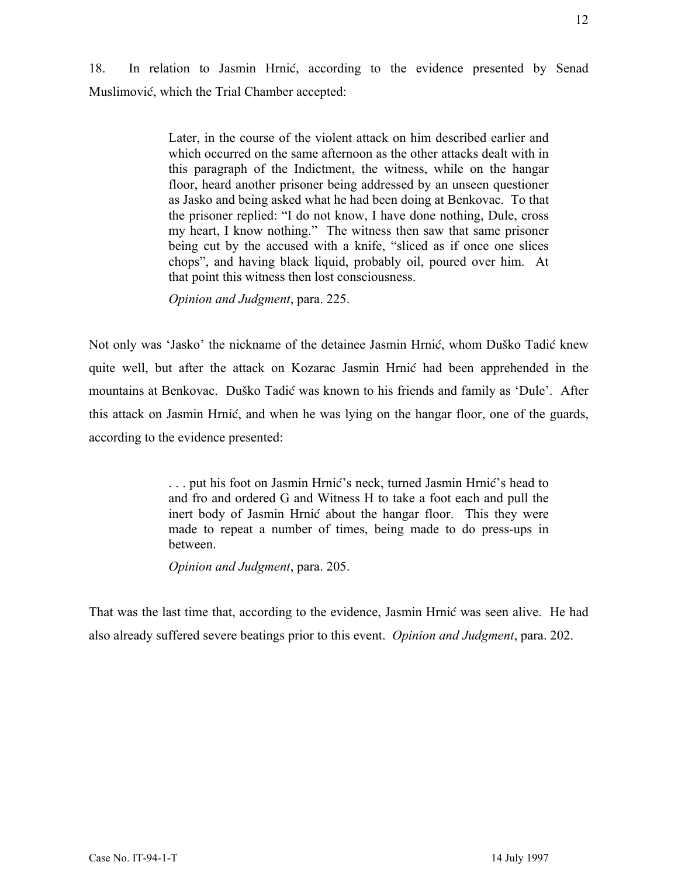18. In relation to Jasmin Hrnić, according to the evidence presented by Senad Muslimović, which the Trial Chamber accepted:

> Later, in the course of the violent attack on him described earlier and which occurred on the same afternoon as the other attacks dealt with in this paragraph of the Indictment, the witness, while on the hangar floor, heard another prisoner being addressed by an unseen questioner as Jasko and being asked what he had been doing at Benkovac. To that the prisoner replied: "I do not know, I have done nothing, Dule, cross my heart, I know nothing." The witness then saw that same prisoner being cut by the accused with a knife, "sliced as if once one slices chops", and having black liquid, probably oil, poured over him. At that point this witness then lost consciousness.

*Opinion and Judgment*, para. 225.

Not only was 'Jasko' the nickname of the detainee Jasmin Hrnić, whom Duško Tadić knew quite well, but after the attack on Kozarac Jasmin Hrnić had been apprehended in the mountains at Benkovac. Duško Tadić was known to his friends and family as 'Dule'. After this attack on Jasmin Hrnić, and when he was lying on the hangar floor, one of the guards, according to the evidence presented:

> ... put his foot on Jasmin Hrnić's neck, turned Jasmin Hrnić's head to and fro and ordered G and Witness H to take a foot each and pull the inert body of Jasmin Hrnić about the hangar floor. This they were made to repeat a number of times, being made to do press-ups in between.

*Opinion and Judgment*, para. 205.

That was the last time that, according to the evidence, Jasmin Hrnić was seen alive. He had also already suffered severe beatings prior to this event. *Opinion and Judgment*, para. 202.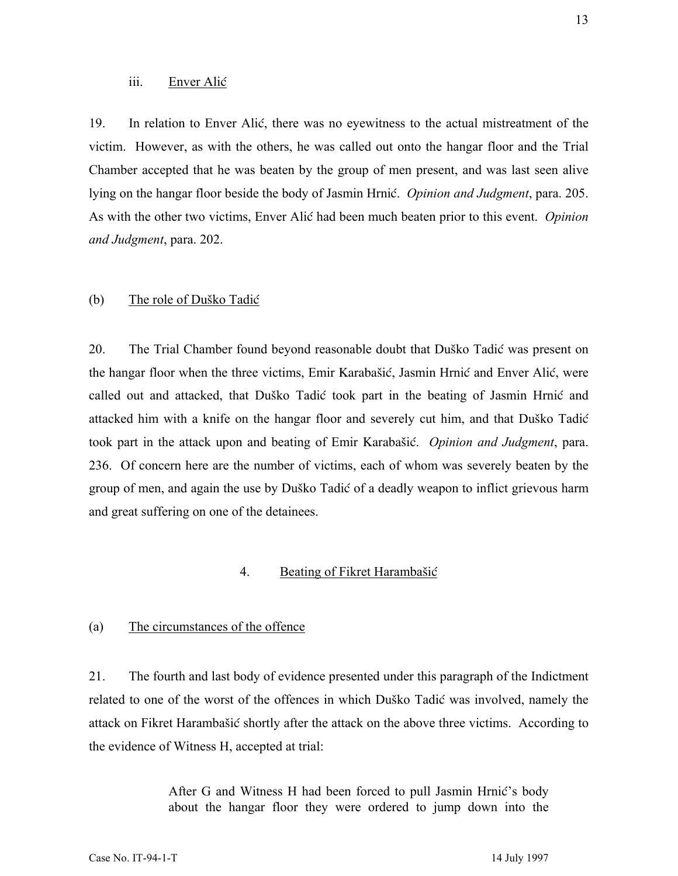#### iii. Enver Alić

19. In relation to Enver Alić, there was no eyewitness to the actual mistreatment of the victim. However, as with the others, he was called out onto the hangar floor and the Trial Chamber accepted that he was beaten by the group of men present, and was last seen alive lying on the hangar floor beside the body of Jasmin Hrnić. *Opinion and Judgment*, para. 205. As with the other two victims, Enver Alic had been much beaten prior to this event. *Opinion and Judgment*, para. 202.

#### (b) The role of Duško Tadić

20. The Trial Chamber found beyond reasonable doubt that Duško Tadić was present on the hangar floor when the three victims, Emir Karabašić, Jasmin Hrnić and Enver Alić, were called out and attacked, that Duško Tadić took part in the beating of Jasmin Hrnić and attacked him with a knife on the hangar floor and severely cut him, and that Duško Tadić took part in the attack upon and beating of Emir Karaba{i}. *Opinion and Judgment*, para. 236. Of concern here are the number of victims, each of whom was severely beaten by the group of men, and again the use by Duško Tadić of a deadly weapon to inflict grievous harm and great suffering on one of the detainees.

#### 4. Beating of Fikret Harambašić

### (a) The circumstances of the offence

21. The fourth and last body of evidence presented under this paragraph of the Indictment related to one of the worst of the offences in which Duško Tadić was involved, namely the attack on Fikret Harambašić shortly after the attack on the above three victims. According to the evidence of Witness H, accepted at trial:

> After G and Witness H had been forced to pull Jasmin Hrnić's body about the hangar floor they were ordered to jump down into the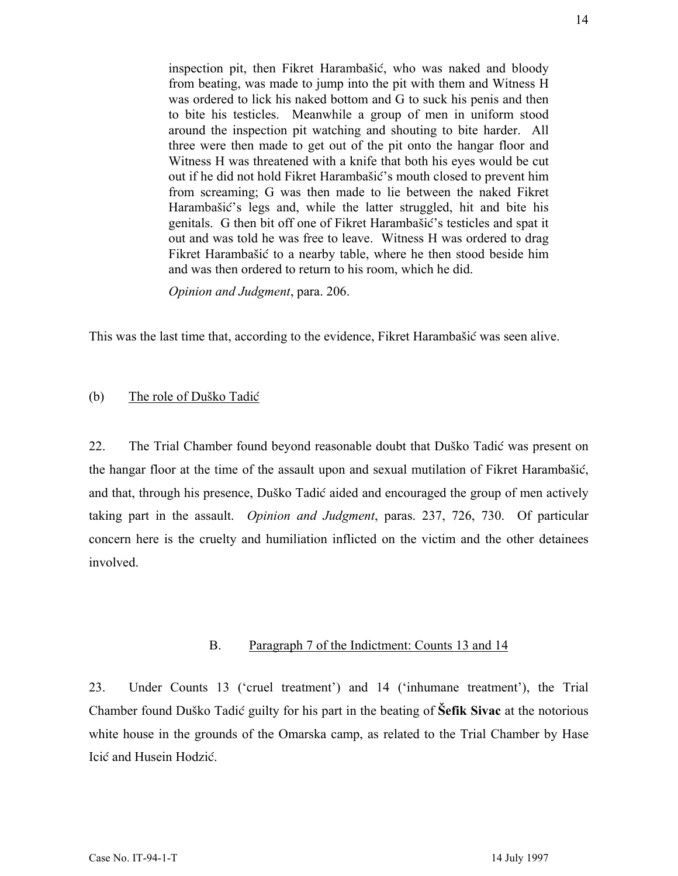inspection pit, then Fikret Harambašić, who was naked and bloody from beating, was made to jump into the pit with them and Witness H was ordered to lick his naked bottom and G to suck his penis and then to bite his testicles. Meanwhile a group of men in uniform stood around the inspection pit watching and shouting to bite harder. All three were then made to get out of the pit onto the hangar floor and Witness H was threatened with a knife that both his eyes would be cut out if he did not hold Fikret Harambašić's mouth closed to prevent him from screaming; G was then made to lie between the naked Fikret Harambašić's legs and, while the latter struggled, hit and bite his genitals. G then bit off one of Fikret Haramba{i}'s testicles and spat it out and was told he was free to leave. Witness H was ordered to drag Fikret Harambašić to a nearby table, where he then stood beside him and was then ordered to return to his room, which he did.

*Opinion and Judgment*, para. 206.

This was the last time that, according to the evidence, Fikret Haramba{i} was seen alive.

#### (b) The role of Duško Tadić

22. The Trial Chamber found beyond reasonable doubt that Duško Tadić was present on the hangar floor at the time of the assault upon and sexual mutilation of Fikret Haramba $\delta$ ić, and that, through his presence, Duško Tadić aided and encouraged the group of men actively taking part in the assault. *Opinion and Judgment*, paras. 237, 726, 730. Of particular concern here is the cruelty and humiliation inflicted on the victim and the other detainees involved.

### B. Paragraph 7 of the Indictment: Counts 13 and 14

23. Under Counts 13 ('cruel treatment') and 14 ('inhumane treatment'), the Trial Chamber found Duško Tadić guilty for his part in the beating of **Šefik Sivac** at the notorious white house in the grounds of the Omarska camp, as related to the Trial Chamber by Hase Icić and Husein Hodzić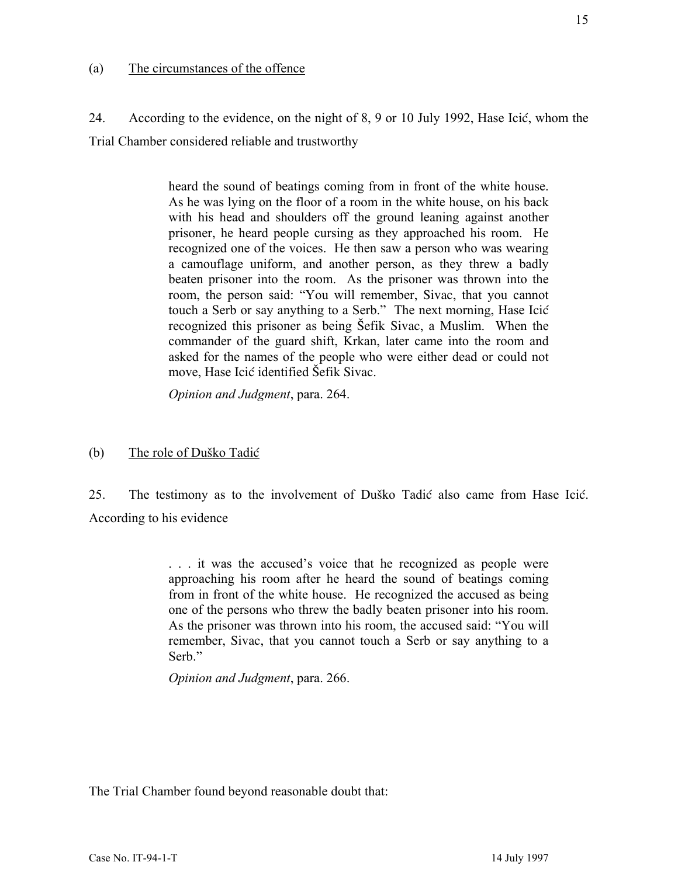### (a) The circumstances of the offence

24. According to the evidence, on the night of 8, 9 or 10 July 1992, Hase Icić, whom the Trial Chamber considered reliable and trustworthy

> heard the sound of beatings coming from in front of the white house. As he was lying on the floor of a room in the white house, on his back with his head and shoulders off the ground leaning against another prisoner, he heard people cursing as they approached his room. He recognized one of the voices. He then saw a person who was wearing a camouflage uniform, and another person, as they threw a badly beaten prisoner into the room. As the prisoner was thrown into the room, the person said: "You will remember, Sivac, that you cannot touch a Serb or say anything to a Serb." The next morning, Hase Icić recognized this prisoner as being Sefik Sivac, a Muslim. When the commander of the guard shift, Krkan, later came into the room and asked for the names of the people who were either dead or could not move, Hase Icić identified Šefik Sivac.

*Opinion and Judgment*, para. 264.

(b) The role of Duško Tadić

25. The testimony as to the involvement of Duško Tadić also came from Hase Icić. According to his evidence

> . . . it was the accused's voice that he recognized as people were approaching his room after he heard the sound of beatings coming from in front of the white house. He recognized the accused as being one of the persons who threw the badly beaten prisoner into his room. As the prisoner was thrown into his room, the accused said: "You will remember, Sivac, that you cannot touch a Serb or say anything to a Serb."

*Opinion and Judgment*, para. 266.

The Trial Chamber found beyond reasonable doubt that: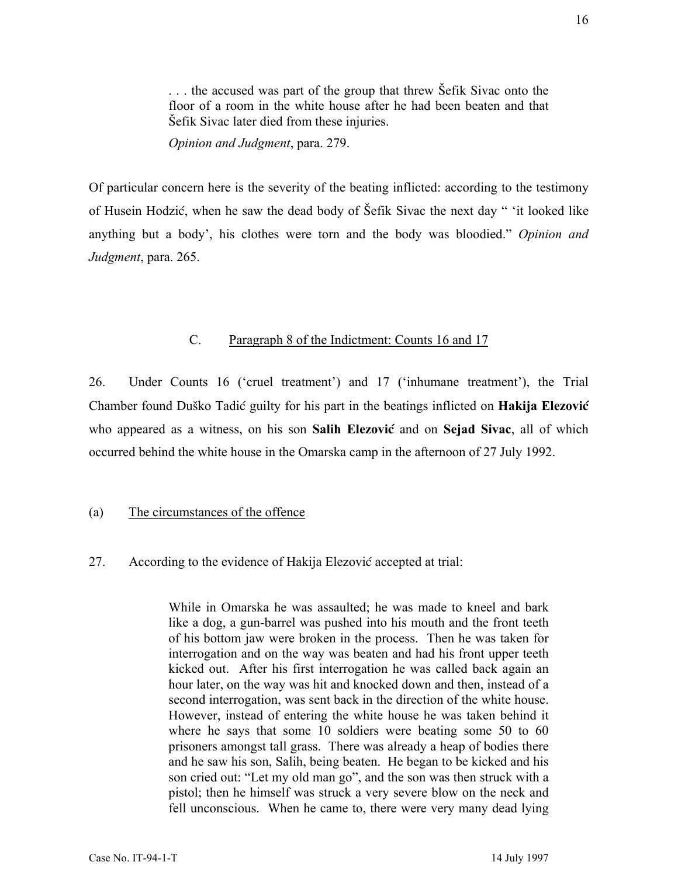$\ldots$  the accused was part of the group that threw Sefik Sivac onto the floor of a room in the white house after he had been beaten and that Sefik Sivac later died from these injuries.

*Opinion and Judgment*, para. 279.

Of particular concern here is the severity of the beating inflicted: according to the testimony of Husein Hodzić, when he saw the dead body of Šefik Sivac the next day " 'it looked like anything but a body', his clothes were torn and the body was bloodied." *Opinion and Judgment*, para. 265.

### C. Paragraph 8 of the Indictment: Counts 16 and 17

26. Under Counts 16 ('cruel treatment') and 17 ('inhumane treatment'), the Trial Chamber found Duško Tadić guilty for his part in the beatings inflicted on Hakija Elezović who appeared as a witness, on his son **Salih Elezovi}** and on **Sejad Sivac**, all of which occurred behind the white house in the Omarska camp in the afternoon of 27 July 1992.

### (a) The circumstances of the offence

### 27. According to the evidence of Hakija Elezović accepted at trial:

While in Omarska he was assaulted; he was made to kneel and bark like a dog, a gun-barrel was pushed into his mouth and the front teeth of his bottom jaw were broken in the process. Then he was taken for interrogation and on the way was beaten and had his front upper teeth kicked out. After his first interrogation he was called back again an hour later, on the way was hit and knocked down and then, instead of a second interrogation, was sent back in the direction of the white house. However, instead of entering the white house he was taken behind it where he says that some 10 soldiers were beating some 50 to 60 prisoners amongst tall grass. There was already a heap of bodies there and he saw his son, Salih, being beaten. He began to be kicked and his son cried out: "Let my old man go", and the son was then struck with a pistol; then he himself was struck a very severe blow on the neck and fell unconscious. When he came to, there were very many dead lying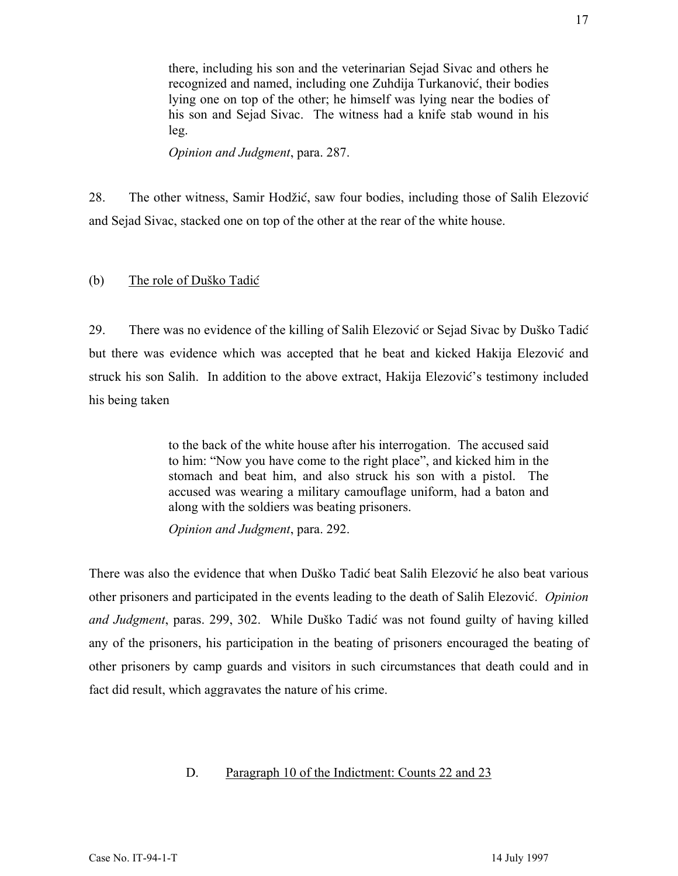there, including his son and the veterinarian Sejad Sivac and others he recognized and named, including one Zuhdija Turkanović, their bodies lying one on top of the other; he himself was lying near the bodies of his son and Sejad Sivac. The witness had a knife stab wound in his leg.

*Opinion and Judgment*, para. 287.

28. The other witness, Samir Hodžić, saw four bodies, including those of Salih Elezović and Sejad Sivac, stacked one on top of the other at the rear of the white house.

### (b) The role of Duško Tadić

29. There was no evidence of the killing of Salih Elezović or Sejad Sivac by Duško Tadić but there was evidence which was accepted that he beat and kicked Hakija Elezović and struck his son Salih. In addition to the above extract, Hakija Elezović's testimony included his being taken

> to the back of the white house after his interrogation. The accused said to him: "Now you have come to the right place", and kicked him in the stomach and beat him, and also struck his son with a pistol. The accused was wearing a military camouflage uniform, had a baton and along with the soldiers was beating prisoners.

*Opinion and Judgment*, para. 292.

There was also the evidence that when Duško Tadić beat Salih Elezović he also beat various other prisoners and participated in the events leading to the death of Salih Elezović. *Opinion and Judgment*, paras. 299, 302. While Duško Tadić was not found guilty of having killed any of the prisoners, his participation in the beating of prisoners encouraged the beating of other prisoners by camp guards and visitors in such circumstances that death could and in fact did result, which aggravates the nature of his crime.

#### D. Paragraph 10 of the Indictment: Counts 22 and 23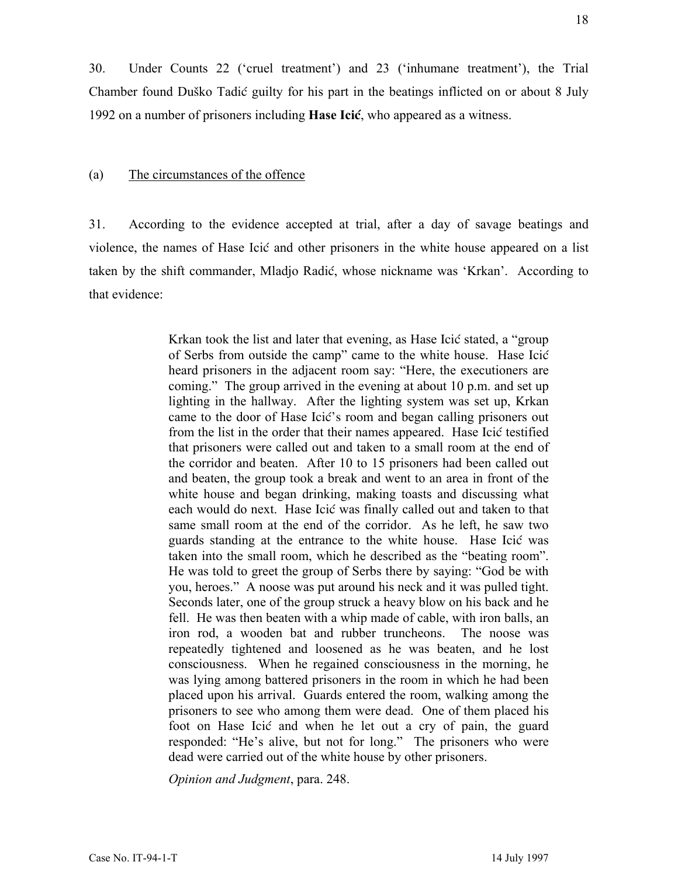18

30. Under Counts 22 ('cruel treatment') and 23 ('inhumane treatment'), the Trial Chamber found Duško Tadić guilty for his part in the beatings inflicted on or about 8 July 1992 on a number of prisoners including **Hase Ici}**, who appeared as a witness.

### (a) The circumstances of the offence

31. According to the evidence accepted at trial, after a day of savage beatings and violence, the names of Hase Icić and other prisoners in the white house appeared on a list taken by the shift commander, Mladjo Radić, whose nickname was 'Krkan'. According to that evidence:

> Krkan took the list and later that evening, as Hase Icić stated, a "group" of Serbs from outside the camp" came to the white house. Hase Icić heard prisoners in the adjacent room say: "Here, the executioners are coming." The group arrived in the evening at about 10 p.m. and set up lighting in the hallway. After the lighting system was set up, Krkan came to the door of Hase Icic's room and began calling prisoners out from the list in the order that their names appeared. Hase Icić testified that prisoners were called out and taken to a small room at the end of the corridor and beaten. After 10 to 15 prisoners had been called out and beaten, the group took a break and went to an area in front of the white house and began drinking, making toasts and discussing what each would do next. Hase Icić was finally called out and taken to that same small room at the end of the corridor. As he left, he saw two guards standing at the entrance to the white house. Hase Icić was taken into the small room, which he described as the "beating room". He was told to greet the group of Serbs there by saying: "God be with you, heroes." A noose was put around his neck and it was pulled tight. Seconds later, one of the group struck a heavy blow on his back and he fell. He was then beaten with a whip made of cable, with iron balls, an iron rod, a wooden bat and rubber truncheons. The noose was repeatedly tightened and loosened as he was beaten, and he lost consciousness. When he regained consciousness in the morning, he was lying among battered prisoners in the room in which he had been placed upon his arrival. Guards entered the room, walking among the prisoners to see who among them were dead. One of them placed his foot on Hase Icić and when he let out a cry of pain, the guard responded: "He's alive, but not for long." The prisoners who were dead were carried out of the white house by other prisoners.

*Opinion and Judgment*, para. 248.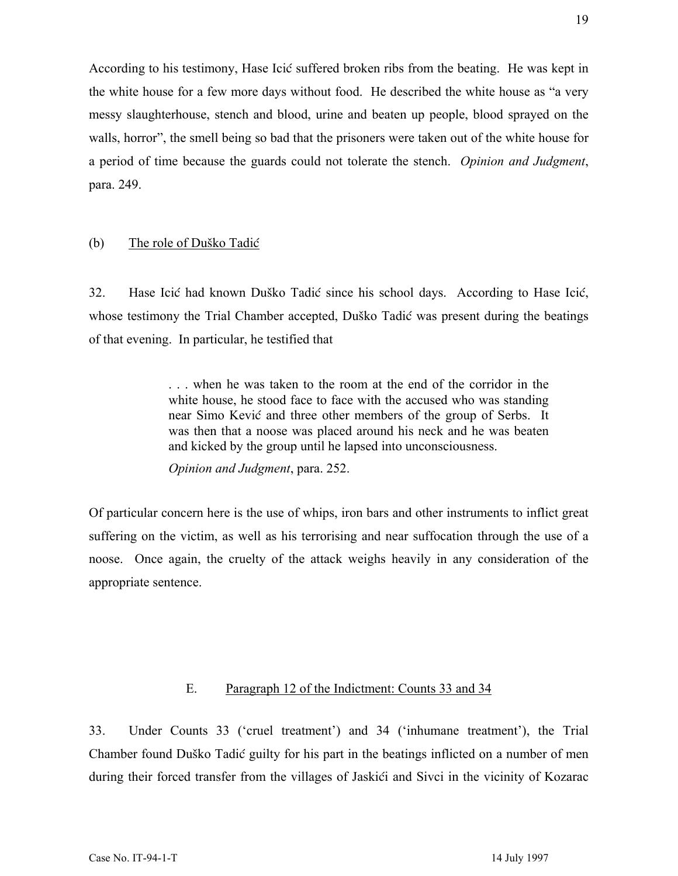According to his testimony, Hase Icić suffered broken ribs from the beating. He was kept in the white house for a few more days without food. He described the white house as "a very messy slaughterhouse, stench and blood, urine and beaten up people, blood sprayed on the walls, horror", the smell being so bad that the prisoners were taken out of the white house for a period of time because the guards could not tolerate the stench. *Opinion and Judgment*, para. 249.

### (b) The role of Duško Tadić

32. Hase Icić had known Duško Tadić since his school days. According to Hase Icić, whose testimony the Trial Chamber accepted, Duško Tadić was present during the beatings of that evening. In particular, he testified that

> . . . when he was taken to the room at the end of the corridor in the white house, he stood face to face with the accused who was standing near Simo Kević and three other members of the group of Serbs. It was then that a noose was placed around his neck and he was beaten and kicked by the group until he lapsed into unconsciousness.

*Opinion and Judgment*, para. 252.

Of particular concern here is the use of whips, iron bars and other instruments to inflict great suffering on the victim, as well as his terrorising and near suffocation through the use of a noose. Once again, the cruelty of the attack weighs heavily in any consideration of the appropriate sentence.

### E. Paragraph 12 of the Indictment: Counts 33 and 34

33. Under Counts 33 ('cruel treatment') and 34 ('inhumane treatment'), the Trial Chamber found Duško Tadić guilty for his part in the beatings inflicted on a number of men during their forced transfer from the villages of Jaskići and Sivci in the vicinity of Kozarac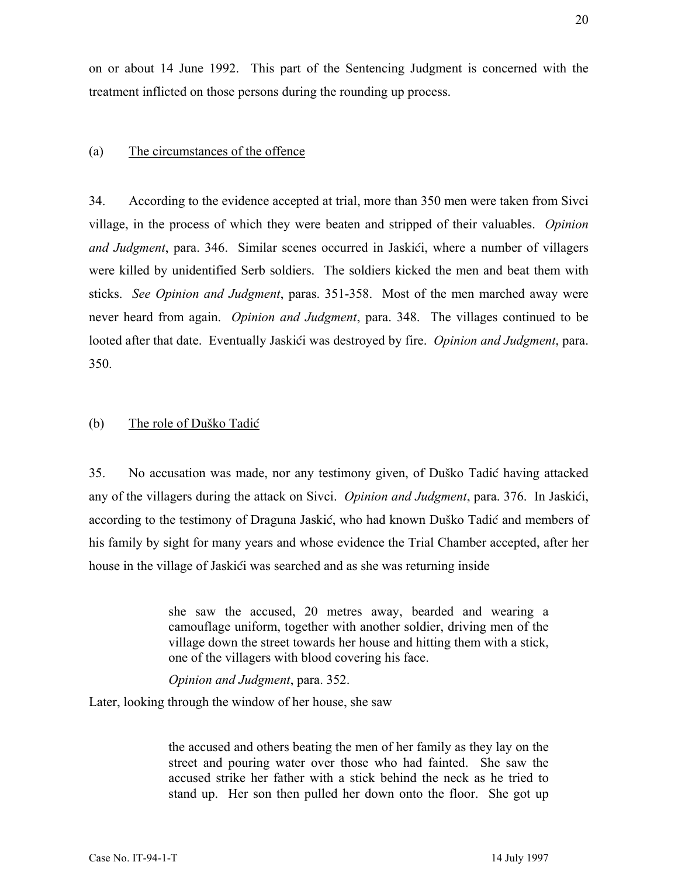on or about 14 June 1992. This part of the Sentencing Judgment is concerned with the treatment inflicted on those persons during the rounding up process.

### (a) The circumstances of the offence

34. According to the evidence accepted at trial, more than 350 men were taken from Sivci village, in the process of which they were beaten and stripped of their valuables. *Opinion and Judgment*, para. 346. Similar scenes occurred in Jaskići, where a number of villagers were killed by unidentified Serb soldiers. The soldiers kicked the men and beat them with sticks. *See Opinion and Judgment*, paras. 351-358. Most of the men marched away were never heard from again. *Opinion and Judgment*, para. 348. The villages continued to be looted after that date. Eventually Jaskići was destroyed by fire. *Opinion and Judgment*, para. 350.

### (b) The role of Duško Tadić

35. No accusation was made, nor any testimony given, of Duško Tadić having attacked any of the villagers during the attack on Sivci. *Opinion and Judgment*, para. 376. In Jaskići, according to the testimony of Draguna Jaskić, who had known Duško Tadić and members of his family by sight for many years and whose evidence the Trial Chamber accepted, after her house in the village of Jaskići was searched and as she was returning inside

> she saw the accused, 20 metres away, bearded and wearing a camouflage uniform, together with another soldier, driving men of the village down the street towards her house and hitting them with a stick, one of the villagers with blood covering his face.

*Opinion and Judgment*, para. 352.

Later, looking through the window of her house, she saw

the accused and others beating the men of her family as they lay on the street and pouring water over those who had fainted. She saw the accused strike her father with a stick behind the neck as he tried to stand up. Her son then pulled her down onto the floor. She got up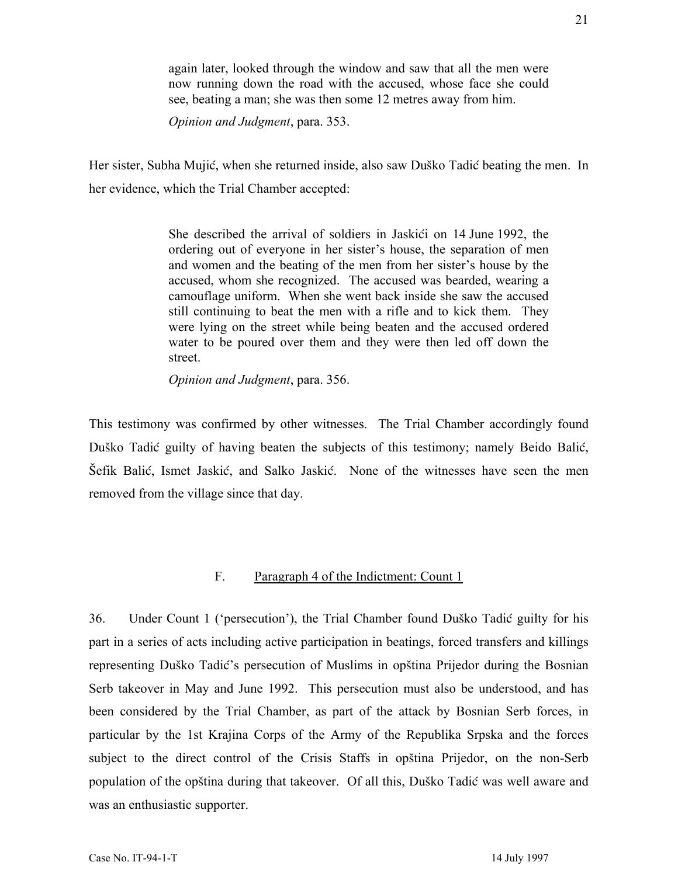again later, looked through the window and saw that all the men were now running down the road with the accused, whose face she could see, beating a man; she was then some 12 metres away from him.

*Opinion and Judgment*, para. 353.

Her sister, Subha Mujić, when she returned inside, also saw Duško Tadić beating the men. In her evidence, which the Trial Chamber accepted:

> She described the arrival of soldiers in Jaskići on 14 June 1992, the ordering out of everyone in her sister's house, the separation of men and women and the beating of the men from her sister's house by the accused, whom she recognized. The accused was bearded, wearing a camouflage uniform. When she went back inside she saw the accused still continuing to beat the men with a rifle and to kick them. They were lying on the street while being beaten and the accused ordered water to be poured over them and they were then led off down the street.

*Opinion and Judgment*, para. 356.

This testimony was confirmed by other witnesses. The Trial Chamber accordingly found Duško Tadić guilty of having beaten the subjects of this testimony; namely Beido Balić, Sefik Balić, Ismet Jaskić, and Salko Jaskić. None of the witnesses have seen the men removed from the village since that day.

### F. Paragraph 4 of the Indictment: Count 1

36. Under Count 1 ('persecution'), the Trial Chamber found Duško Tadić guilty for his part in a series of acts including active participation in beatings, forced transfers and killings representing Duško Tadić's persecution of Muslims in opština Prijedor during the Bosnian Serb takeover in May and June 1992. This persecution must also be understood, and has been considered by the Trial Chamber, as part of the attack by Bosnian Serb forces, in particular by the 1st Krajina Corps of the Army of the Republika Srpska and the forces subject to the direct control of the Crisis Staffs in opština Prijedor, on the non-Serb population of the opština during that takeover. Of all this, Duško Tadić was well aware and was an enthusiastic supporter.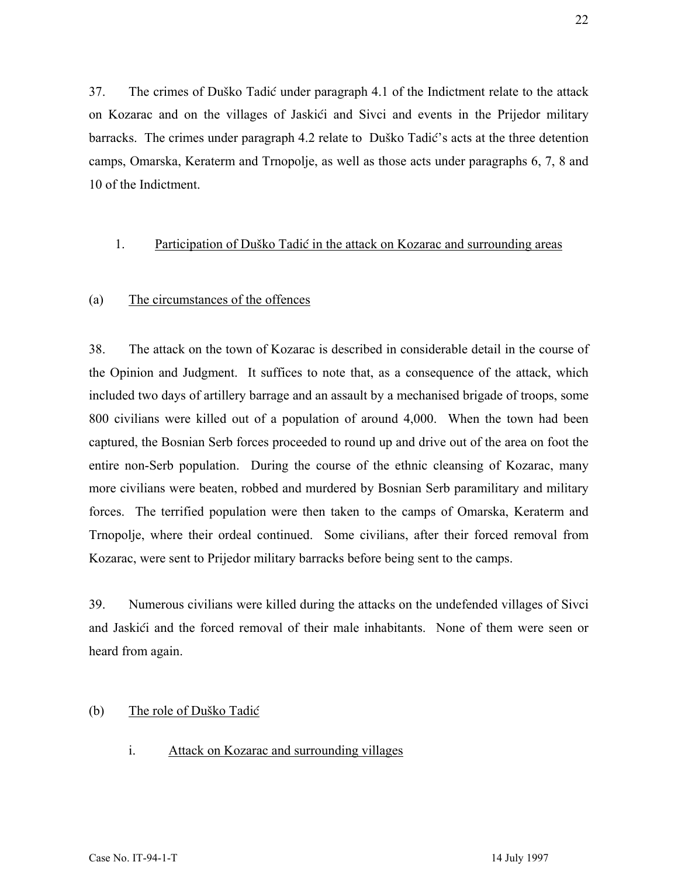37. The crimes of Duško Tadić under paragraph 4.1 of the Indictment relate to the attack on Kozarac and on the villages of Jaskići and Sivci and events in the Prijedor military barracks. The crimes under paragraph 4.2 relate to Duško Tadić's acts at the three detention camps, Omarska, Keraterm and Trnopolje, as well as those acts under paragraphs 6, 7, 8 and 10 of the Indictment.

### 1. Participation of Duško Tadić in the attack on Kozarac and surrounding areas

### (a) The circumstances of the offences

38. The attack on the town of Kozarac is described in considerable detail in the course of the Opinion and Judgment. It suffices to note that, as a consequence of the attack, which included two days of artillery barrage and an assault by a mechanised brigade of troops, some 800 civilians were killed out of a population of around 4,000. When the town had been captured, the Bosnian Serb forces proceeded to round up and drive out of the area on foot the entire non-Serb population. During the course of the ethnic cleansing of Kozarac, many more civilians were beaten, robbed and murdered by Bosnian Serb paramilitary and military forces. The terrified population were then taken to the camps of Omarska, Keraterm and Trnopolje, where their ordeal continued. Some civilians, after their forced removal from Kozarac, were sent to Prijedor military barracks before being sent to the camps.

39. Numerous civilians were killed during the attacks on the undefended villages of Sivci and Jaskići and the forced removal of their male inhabitants. None of them were seen or heard from again.

### (b) The role of Duško Tadić

# i. Attack on Kozarac and surrounding villages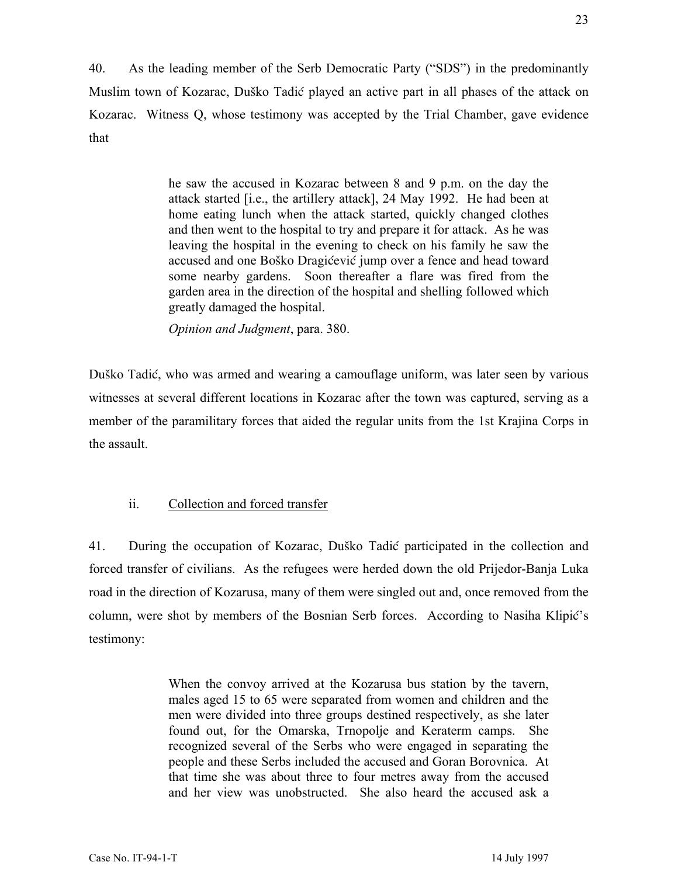40. As the leading member of the Serb Democratic Party ("SDS") in the predominantly Muslim town of Kozarac, Duško Tadić played an active part in all phases of the attack on Kozarac. Witness Q, whose testimony was accepted by the Trial Chamber, gave evidence that

> he saw the accused in Kozarac between 8 and 9 p.m. on the day the attack started [i.e., the artillery attack], 24 May 1992. He had been at home eating lunch when the attack started, quickly changed clothes and then went to the hospital to try and prepare it for attack. As he was leaving the hospital in the evening to check on his family he saw the accused and one Boško Dragićević jump over a fence and head toward some nearby gardens. Soon thereafter a flare was fired from the garden area in the direction of the hospital and shelling followed which greatly damaged the hospital.

*Opinion and Judgment*, para. 380.

Duško Tadić, who was armed and wearing a camouflage uniform, was later seen by various witnesses at several different locations in Kozarac after the town was captured, serving as a member of the paramilitary forces that aided the regular units from the 1st Krajina Corps in the assault.

# ii. Collection and forced transfer

41. During the occupation of Kozarac, Duško Tadić participated in the collection and forced transfer of civilians. As the refugees were herded down the old Prijedor-Banja Luka road in the direction of Kozarusa, many of them were singled out and, once removed from the column, were shot by members of the Bosnian Serb forces. According to Nasiha Klipić's testimony:

> When the convoy arrived at the Kozarusa bus station by the tavern, males aged 15 to 65 were separated from women and children and the men were divided into three groups destined respectively, as she later found out, for the Omarska, Trnopolje and Keraterm camps. She recognized several of the Serbs who were engaged in separating the people and these Serbs included the accused and Goran Borovnica. At that time she was about three to four metres away from the accused and her view was unobstructed. She also heard the accused ask a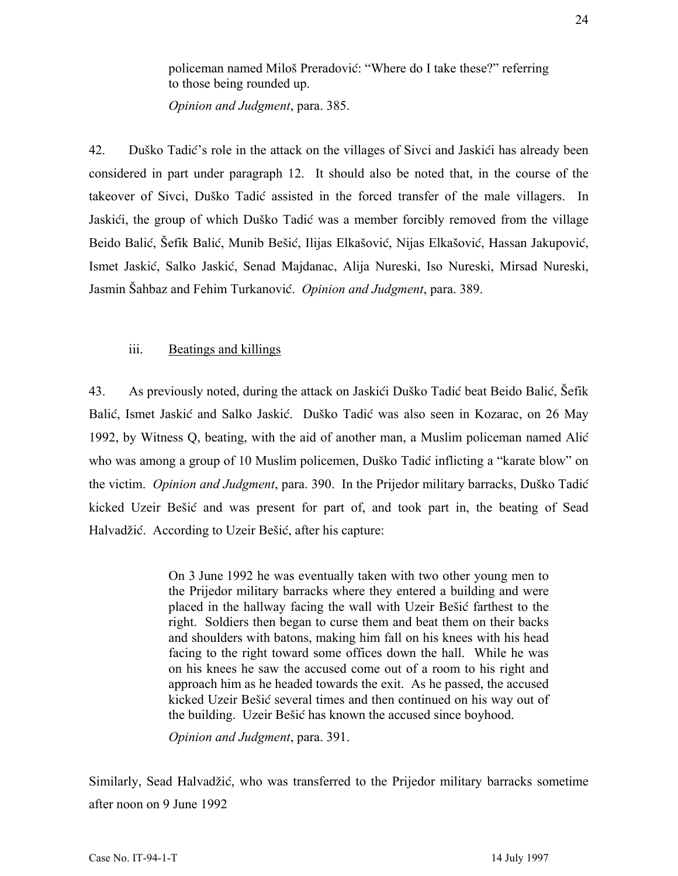policeman named Miloš Preradović: "Where do I take these?" referring to those being rounded up. *Opinion and Judgment*, para. 385.

42. Duško Tadić's role in the attack on the villages of Sivci and Jaskići has already been considered in part under paragraph 12. It should also be noted that, in the course of the takeover of Sivci, Duško Tadić assisted in the forced transfer of the male villagers. In Jaskići, the group of which Duško Tadić was a member forcibly removed from the village Beido Balić, Šefik Balić, Munib Bešić, Ilijas Elkašović, Nijas Elkašović, Hassan Jakupović, Ismet Jaski}, Salko Jaski}, Senad Majdanac, Alija Nureski, Iso Nureski, Mirsad Nureski, Jasmin Šahbaz and Fehim Turkanović. *Opinion and Judgment*, para. 389.

### iii. Beatings and killings

43. As previously noted, during the attack on Jaskići Duško Tadić beat Beido Balić, Šefik Balić, Ismet Jaskić and Salko Jaskić. Duško Tadić was also seen in Kozarac, on 26 May 1992, by Witness Q, beating, with the aid of another man, a Muslim policeman named Alić who was among a group of 10 Muslim policemen, Duško Tadić inflicting a "karate blow" on the victim. *Opinion and Judgment*, para. 390. In the Prijedor military barracks, Duško Tadić kicked Uzeir Bešić and was present for part of, and took part in, the beating of Sead Halvadžić. According to Uzeir Bešić, after his capture:

> On 3 June 1992 he was eventually taken with two other young men to the Prijedor military barracks where they entered a building and were placed in the hallway facing the wall with Uzeir Bešić farthest to the right. Soldiers then began to curse them and beat them on their backs and shoulders with batons, making him fall on his knees with his head facing to the right toward some offices down the hall. While he was on his knees he saw the accused come out of a room to his right and approach him as he headed towards the exit. As he passed, the accused kicked Uzeir Bešić several times and then continued on his way out of the building. Uzeir Bešić has known the accused since boyhood.

*Opinion and Judgment*, para. 391.

Similarly, Sead Halvadžić, who was transferred to the Prijedor military barracks sometime after noon on 9 June 1992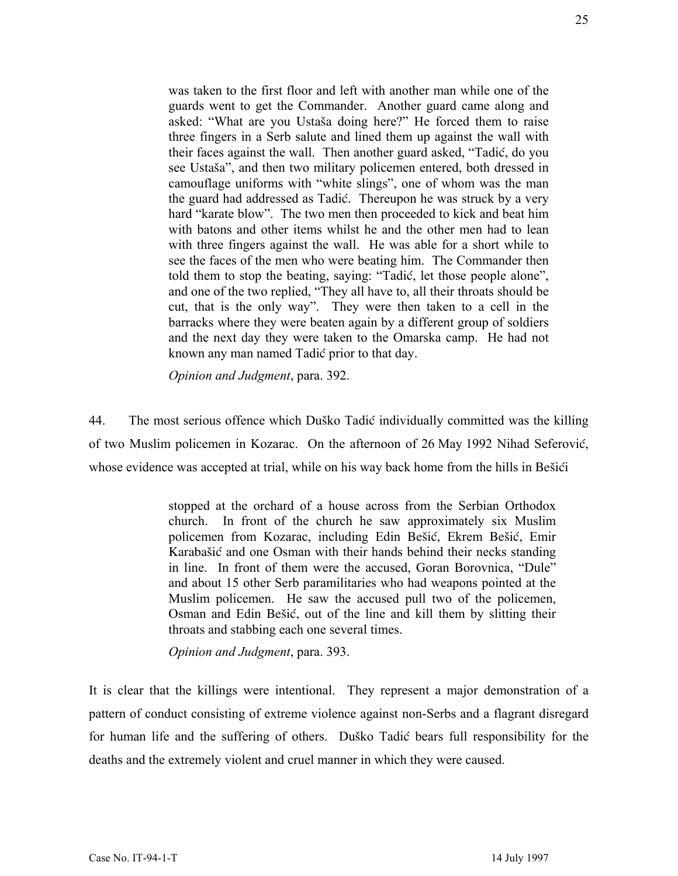25

was taken to the first floor and left with another man while one of the guards went to get the Commander. Another guard came along and asked: "What are you Ustaša doing here?" He forced them to raise three fingers in a Serb salute and lined them up against the wall with their faces against the wall. Then another guard asked, "Tadić, do you see Ustaša", and then two military policemen entered, both dressed in camouflage uniforms with "white slings", one of whom was the man the guard had addressed as Tadić. Thereupon he was struck by a very hard "karate blow". The two men then proceeded to kick and beat him with batons and other items whilst he and the other men had to lean with three fingers against the wall. He was able for a short while to see the faces of the men who were beating him. The Commander then told them to stop the beating, saying: "Tadić, let those people alone", and one of the two replied, "They all have to, all their throats should be cut, that is the only way". They were then taken to a cell in the barracks where they were beaten again by a different group of soldiers and the next day they were taken to the Omarska camp. He had not known any man named Tadić prior to that day.

*Opinion and Judgment*, para. 392.

44. The most serious offence which Duško Tadić individually committed was the killing of two Muslim policemen in Kozarac. On the afternoon of 26 May 1992 Nihad Seferović, whose evidence was accepted at trial, while on his way back home from the hills in Besici

> stopped at the orchard of a house across from the Serbian Orthodox church. In front of the church he saw approximately six Muslim policemen from Kozarac, including Edin Bešić, Ekrem Bešić, Emir Karabašić and one Osman with their hands behind their necks standing in line. In front of them were the accused, Goran Borovnica, "Dule" and about 15 other Serb paramilitaries who had weapons pointed at the Muslim policemen. He saw the accused pull two of the policemen, Osman and Edin Bešić, out of the line and kill them by slitting their throats and stabbing each one several times.

*Opinion and Judgment*, para. 393.

It is clear that the killings were intentional. They represent a major demonstration of a pattern of conduct consisting of extreme violence against non-Serbs and a flagrant disregard for human life and the suffering of others. Duško Tadić bears full responsibility for the deaths and the extremely violent and cruel manner in which they were caused.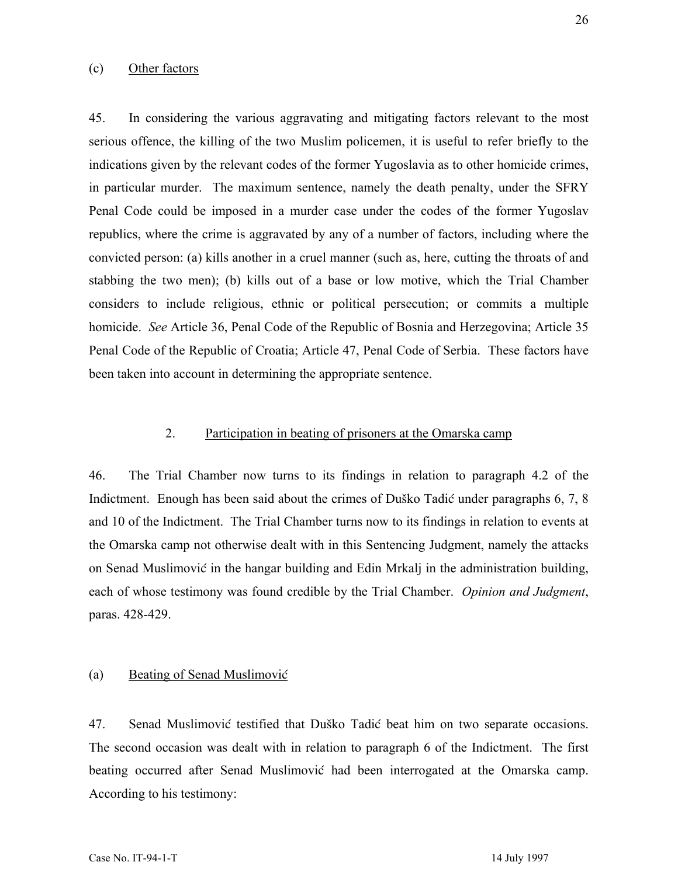### (c) Other factors

45. In considering the various aggravating and mitigating factors relevant to the most serious offence, the killing of the two Muslim policemen, it is useful to refer briefly to the indications given by the relevant codes of the former Yugoslavia as to other homicide crimes, in particular murder. The maximum sentence, namely the death penalty, under the SFRY Penal Code could be imposed in a murder case under the codes of the former Yugoslav republics, where the crime is aggravated by any of a number of factors, including where the convicted person: (a) kills another in a cruel manner (such as, here, cutting the throats of and stabbing the two men); (b) kills out of a base or low motive, which the Trial Chamber considers to include religious, ethnic or political persecution; or commits a multiple homicide. *See* Article 36, Penal Code of the Republic of Bosnia and Herzegovina; Article 35 Penal Code of the Republic of Croatia; Article 47, Penal Code of Serbia. These factors have been taken into account in determining the appropriate sentence.

### 2. Participation in beating of prisoners at the Omarska camp

46. The Trial Chamber now turns to its findings in relation to paragraph 4.2 of the Indictment. Enough has been said about the crimes of Duško Tadić under paragraphs 6, 7, 8 and 10 of the Indictment. The Trial Chamber turns now to its findings in relation to events at the Omarska camp not otherwise dealt with in this Sentencing Judgment, namely the attacks on Senad Muslimović in the hangar building and Edin Mrkalj in the administration building, each of whose testimony was found credible by the Trial Chamber. *Opinion and Judgment*, paras. 428-429.

#### (a) Beating of Senad Muslimović

47. Senad Muslimović testified that Duško Tadić beat him on two separate occasions. The second occasion was dealt with in relation to paragraph 6 of the Indictment. The first beating occurred after Senad Muslimović had been interrogated at the Omarska camp. According to his testimony: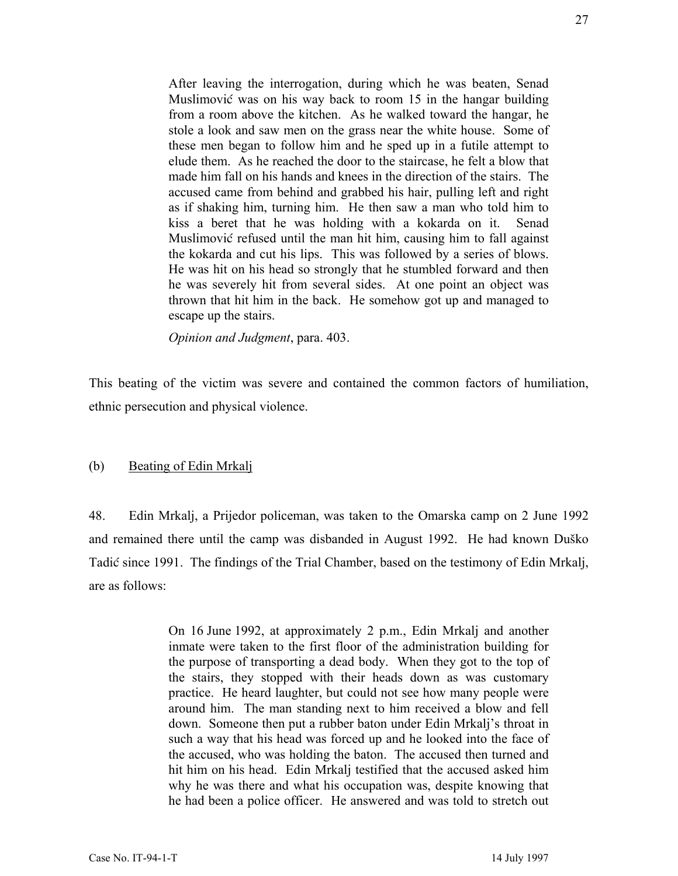After leaving the interrogation, during which he was beaten, Senad Muslimović was on his way back to room 15 in the hangar building from a room above the kitchen. As he walked toward the hangar, he stole a look and saw men on the grass near the white house. Some of these men began to follow him and he sped up in a futile attempt to elude them. As he reached the door to the staircase, he felt a blow that made him fall on his hands and knees in the direction of the stairs. The accused came from behind and grabbed his hair, pulling left and right as if shaking him, turning him. He then saw a man who told him to kiss a beret that he was holding with a kokarda on it. Senad Muslimović refused until the man hit him, causing him to fall against the kokarda and cut his lips. This was followed by a series of blows. He was hit on his head so strongly that he stumbled forward and then he was severely hit from several sides. At one point an object was thrown that hit him in the back. He somehow got up and managed to escape up the stairs.

*Opinion and Judgment*, para. 403.

This beating of the victim was severe and contained the common factors of humiliation, ethnic persecution and physical violence.

### (b) Beating of Edin Mrkalj

48. Edin Mrkalj, a Prijedor policeman, was taken to the Omarska camp on 2 June 1992 and remained there until the camp was disbanded in August 1992. He had known Duško Tadić since 1991. The findings of the Trial Chamber, based on the testimony of Edin Mrkalj, are as follows:

> On 16 June 1992, at approximately 2 p.m., Edin Mrkalj and another inmate were taken to the first floor of the administration building for the purpose of transporting a dead body. When they got to the top of the stairs, they stopped with their heads down as was customary practice. He heard laughter, but could not see how many people were around him. The man standing next to him received a blow and fell down. Someone then put a rubber baton under Edin Mrkalj's throat in such a way that his head was forced up and he looked into the face of the accused, who was holding the baton. The accused then turned and hit him on his head. Edin Mrkalj testified that the accused asked him why he was there and what his occupation was, despite knowing that he had been a police officer. He answered and was told to stretch out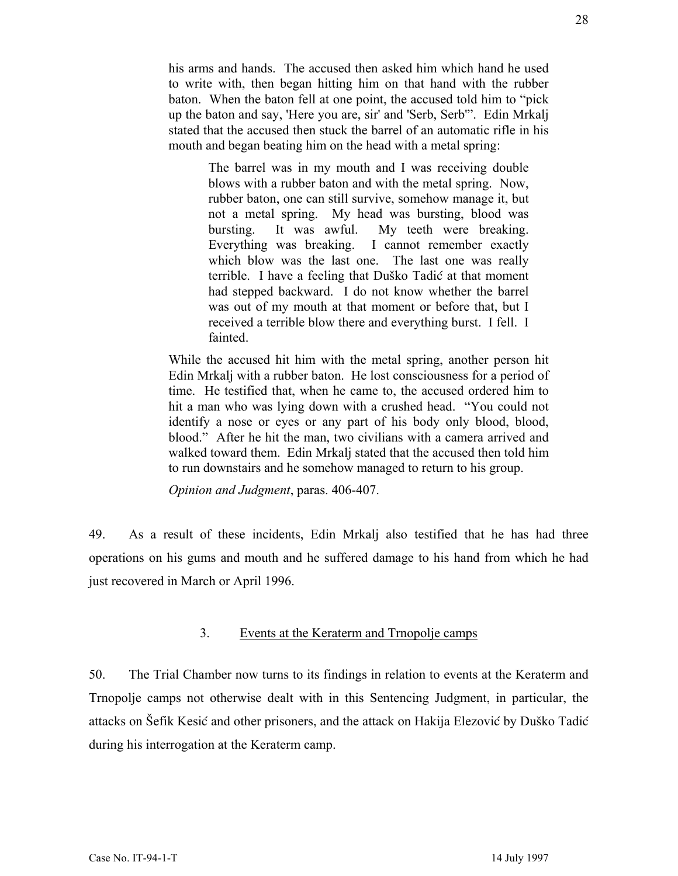his arms and hands. The accused then asked him which hand he used to write with, then began hitting him on that hand with the rubber baton. When the baton fell at one point, the accused told him to "pick up the baton and say, 'Here you are, sir' and 'Serb, Serb'". Edin Mrkalj stated that the accused then stuck the barrel of an automatic rifle in his mouth and began beating him on the head with a metal spring:

> The barrel was in my mouth and I was receiving double blows with a rubber baton and with the metal spring. Now, rubber baton, one can still survive, somehow manage it, but not a metal spring. My head was bursting, blood was bursting. It was awful. My teeth were breaking. Everything was breaking. I cannot remember exactly which blow was the last one. The last one was really terrible. I have a feeling that Duško Tadić at that moment had stepped backward. I do not know whether the barrel was out of my mouth at that moment or before that, but I received a terrible blow there and everything burst. I fell. I fainted.

While the accused hit him with the metal spring, another person hit Edin Mrkalj with a rubber baton. He lost consciousness for a period of time. He testified that, when he came to, the accused ordered him to hit a man who was lying down with a crushed head. "You could not identify a nose or eyes or any part of his body only blood, blood, blood." After he hit the man, two civilians with a camera arrived and walked toward them. Edin Mrkali stated that the accused then told him to run downstairs and he somehow managed to return to his group.

*Opinion and Judgment*, paras. 406-407.

49. As a result of these incidents, Edin Mrkalj also testified that he has had three operations on his gums and mouth and he suffered damage to his hand from which he had just recovered in March or April 1996.

### 3. Events at the Keraterm and Trnopolje camps

50. The Trial Chamber now turns to its findings in relation to events at the Keraterm and Trnopolje camps not otherwise dealt with in this Sentencing Judgment, in particular, the attacks on Šefik Kesić and other prisoners, and the attack on Hakija Elezović by Duško Tadić during his interrogation at the Keraterm camp.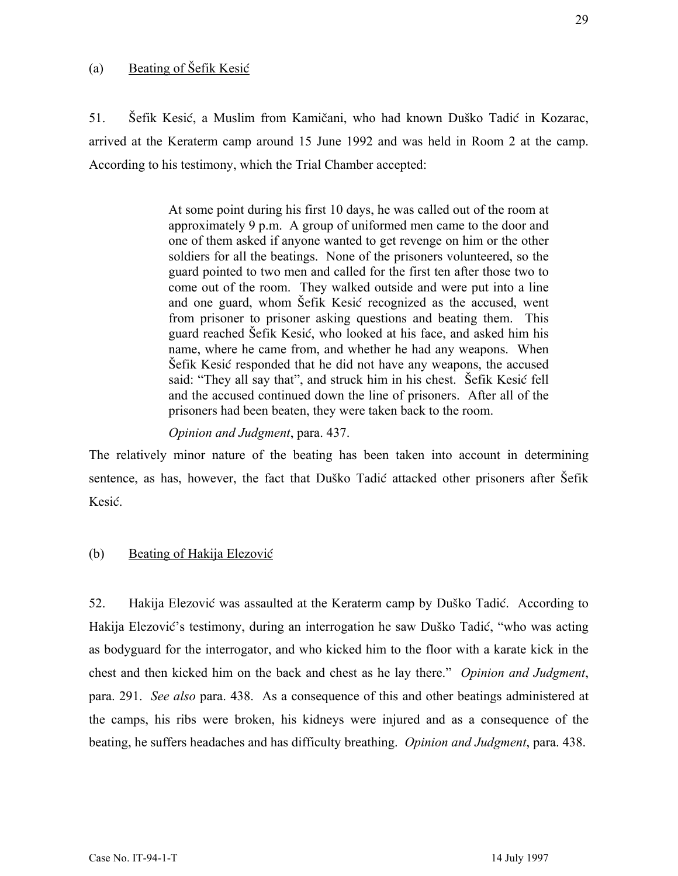# (a) Beating of Šefik Kesić

51. Sefik Kesić, a Muslim from Kamičani, who had known Duško Tadić in Kozarac, arrived at the Keraterm camp around 15 June 1992 and was held in Room 2 at the camp. According to his testimony, which the Trial Chamber accepted:

> At some point during his first 10 days, he was called out of the room at approximately 9 p.m. A group of uniformed men came to the door and one of them asked if anyone wanted to get revenge on him or the other soldiers for all the beatings. None of the prisoners volunteered, so the guard pointed to two men and called for the first ten after those two to come out of the room. They walked outside and were put into a line and one guard, whom Šefik Kesić recognized as the accused, went from prisoner to prisoner asking questions and beating them. This guard reached Šefik Kesić, who looked at his face, and asked him his name, where he came from, and whether he had any weapons. When Sefik Kesić responded that he did not have any weapons, the accused said: "They all say that", and struck him in his chest. Šefik Kesić fell and the accused continued down the line of prisoners. After all of the prisoners had been beaten, they were taken back to the room.

### *Opinion and Judgment*, para. 437.

The relatively minor nature of the beating has been taken into account in determining sentence, as has, however, the fact that Duško Tadić attacked other prisoners after Sefik Kesić

#### (b) Beating of Hakija Elezović

52. Hakija Elezović was assaulted at the Keraterm camp by Duško Tadić. According to Hakija Elezović's testimony, during an interrogation he saw Duško Tadić, "who was acting as bodyguard for the interrogator, and who kicked him to the floor with a karate kick in the chest and then kicked him on the back and chest as he lay there." *Opinion and Judgment*, para. 291. *See also* para. 438. As a consequence of this and other beatings administered at the camps, his ribs were broken, his kidneys were injured and as a consequence of the beating, he suffers headaches and has difficulty breathing. *Opinion and Judgment*, para. 438.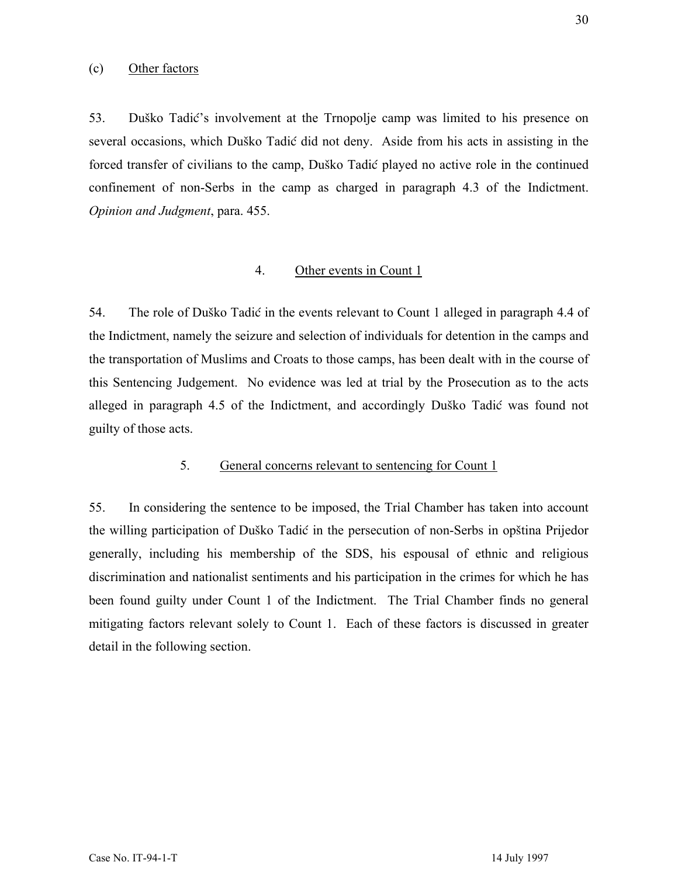### (c) Other factors

53. Duško Tadić's involvement at the Trnopolje camp was limited to his presence on several occasions, which Duško Tadić did not deny. Aside from his acts in assisting in the forced transfer of civilians to the camp, Duško Tadić played no active role in the continued confinement of non-Serbs in the camp as charged in paragraph 4.3 of the Indictment. *Opinion and Judgment*, para. 455.

#### 4. Other events in Count 1

54. The role of Duško Tadić in the events relevant to Count 1 alleged in paragraph 4.4 of the Indictment, namely the seizure and selection of individuals for detention in the camps and the transportation of Muslims and Croats to those camps, has been dealt with in the course of this Sentencing Judgement. No evidence was led at trial by the Prosecution as to the acts alleged in paragraph  $4.5$  of the Indictment, and accordingly Duško Tadić was found not guilty of those acts.

### 5. General concerns relevant to sentencing for Count 1

55. In considering the sentence to be imposed, the Trial Chamber has taken into account the willing participation of Duško Tadić in the persecution of non-Serbs in opština Prijedor generally, including his membership of the SDS, his espousal of ethnic and religious discrimination and nationalist sentiments and his participation in the crimes for which he has been found guilty under Count 1 of the Indictment. The Trial Chamber finds no general mitigating factors relevant solely to Count 1. Each of these factors is discussed in greater detail in the following section.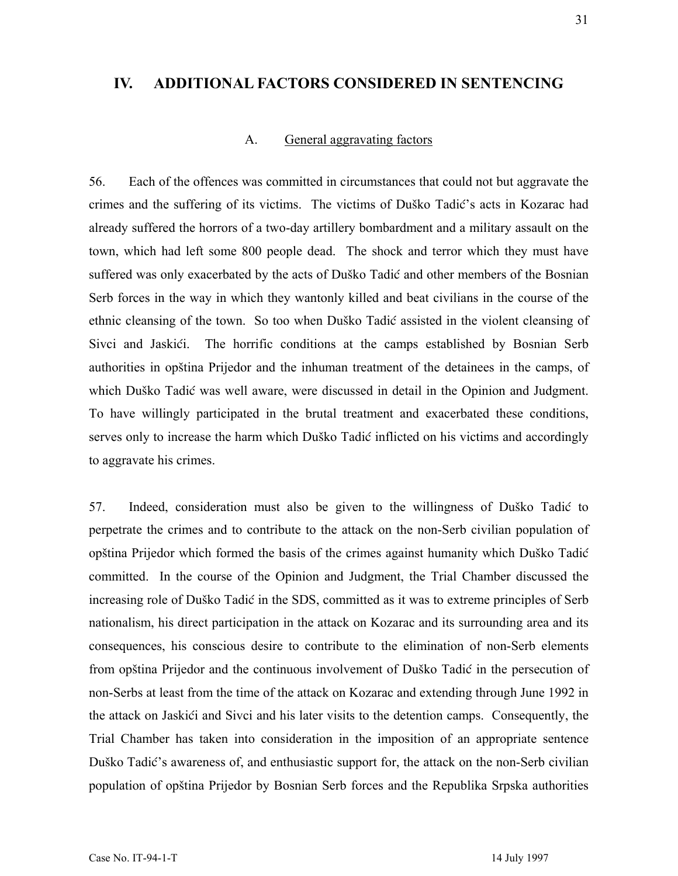### **IV. ADDITIONAL FACTORS CONSIDERED IN SENTENCING**

#### A. General aggravating factors

56. Each of the offences was committed in circumstances that could not but aggravate the crimes and the suffering of its victims. The victims of Duško Tadić's acts in Kozarac had already suffered the horrors of a two-day artillery bombardment and a military assault on the town, which had left some 800 people dead. The shock and terror which they must have suffered was only exacerbated by the acts of Duško Tadić and other members of the Bosnian Serb forces in the way in which they wantonly killed and beat civilians in the course of the ethnic cleansing of the town. So too when Duško Tadić assisted in the violent cleansing of Sivci and Jaskići. The horrific conditions at the camps established by Bosnian Serb authorities in op<sub>s</sub>tina Prijedor and the inhuman treatment of the detainees in the camps, of which Du<sub>isko</sub> Tadić was well aware, were discussed in detail in the Opinion and Judgment. To have willingly participated in the brutal treatment and exacerbated these conditions, serves only to increase the harm which Duško Tadić inflicted on his victims and accordingly to aggravate his crimes.

57. Indeed, consideration must also be given to the willingness of Duško Tadić to perpetrate the crimes and to contribute to the attack on the non-Serb civilian population of opština Prijedor which formed the basis of the crimes against humanity which Duško Tadić committed. In the course of the Opinion and Judgment, the Trial Chamber discussed the increasing role of Duško Tadić in the SDS, committed as it was to extreme principles of Serb nationalism, his direct participation in the attack on Kozarac and its surrounding area and its consequences, his conscious desire to contribute to the elimination of non-Serb elements from opština Prijedor and the continuous involvement of Duško Tadić in the persecution of non-Serbs at least from the time of the attack on Kozarac and extending through June 1992 in the attack on Jaskići and Sivci and his later visits to the detention camps. Consequently, the Trial Chamber has taken into consideration in the imposition of an appropriate sentence Duško Tadić's awareness of, and enthusiastic support for, the attack on the non-Serb civilian population of opština Prijedor by Bosnian Serb forces and the Republika Srpska authorities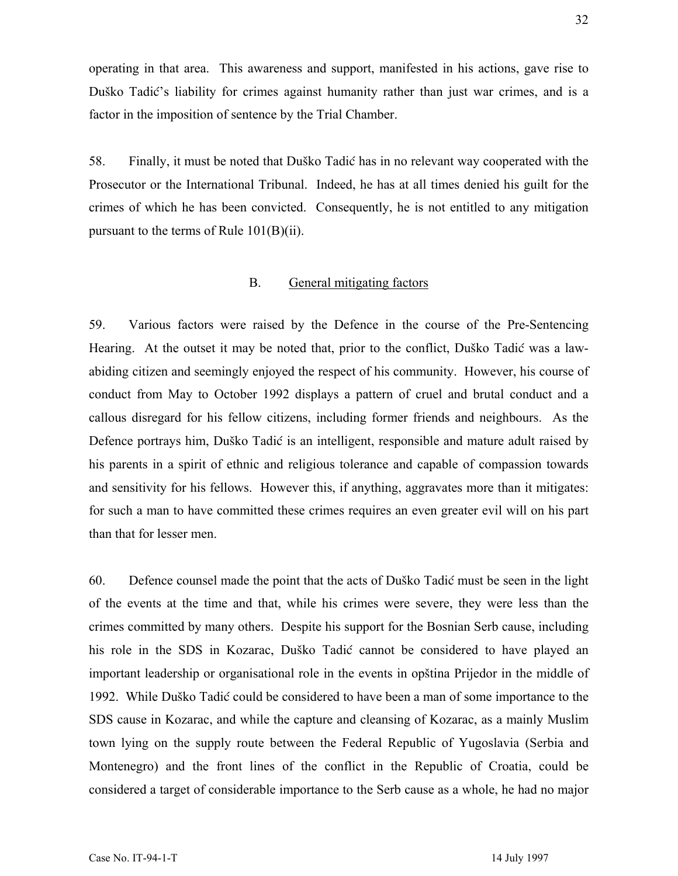operating in that area. This awareness and support, manifested in his actions, gave rise to Duško Tadić's liability for crimes against humanity rather than just war crimes, and is a factor in the imposition of sentence by the Trial Chamber.

58. Finally, it must be noted that Duško Tadić has in no relevant way cooperated with the Prosecutor or the International Tribunal. Indeed, he has at all times denied his guilt for the crimes of which he has been convicted. Consequently, he is not entitled to any mitigation pursuant to the terms of Rule  $101(B)(ii)$ .

#### B. General mitigating factors

59. Various factors were raised by the Defence in the course of the Pre-Sentencing Hearing. At the outset it may be noted that, prior to the conflict, Duško Tadić was a lawabiding citizen and seemingly enjoyed the respect of his community. However, his course of conduct from May to October 1992 displays a pattern of cruel and brutal conduct and a callous disregard for his fellow citizens, including former friends and neighbours. As the Defence portrays him, Duško Tadić is an intelligent, responsible and mature adult raised by his parents in a spirit of ethnic and religious tolerance and capable of compassion towards and sensitivity for his fellows. However this, if anything, aggravates more than it mitigates: for such a man to have committed these crimes requires an even greater evil will on his part than that for lesser men.

60. Defence counsel made the point that the acts of Duško Tadić must be seen in the light of the events at the time and that, while his crimes were severe, they were less than the crimes committed by many others. Despite his support for the Bosnian Serb cause, including his role in the SDS in Kozarac, Duško Tadić cannot be considered to have played an important leadership or organisational role in the events in opština Prijedor in the middle of 1992. While Duško Tadić could be considered to have been a man of some importance to the SDS cause in Kozarac, and while the capture and cleansing of Kozarac, as a mainly Muslim town lying on the supply route between the Federal Republic of Yugoslavia (Serbia and Montenegro) and the front lines of the conflict in the Republic of Croatia, could be considered a target of considerable importance to the Serb cause as a whole, he had no major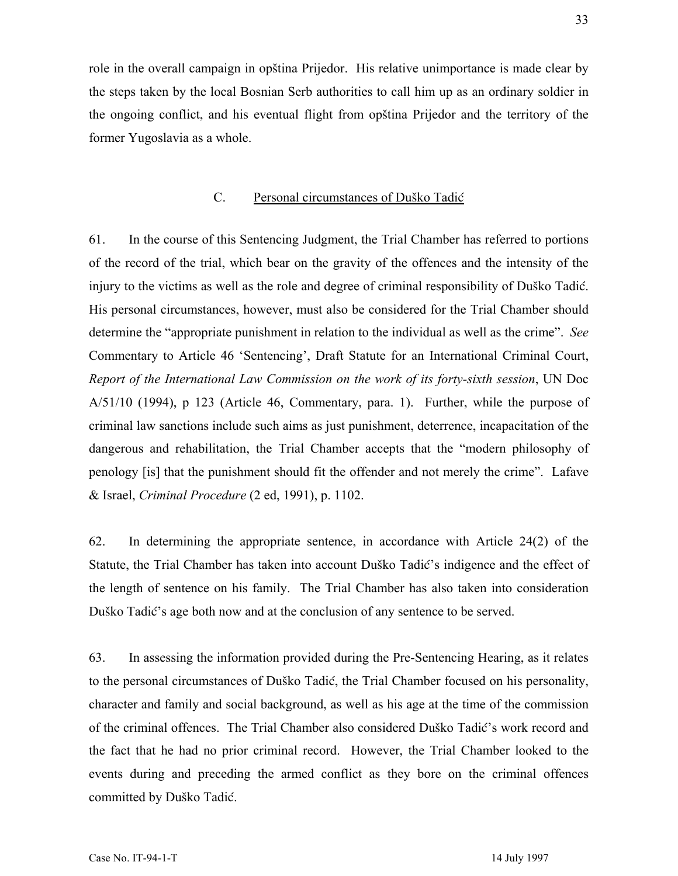role in the overall campaign in opština Prijedor. His relative unimportance is made clear by the steps taken by the local Bosnian Serb authorities to call him up as an ordinary soldier in the ongoing conflict, and his eventual flight from opština Prijedor and the territory of the former Yugoslavia as a whole.

### C. Personal circumstances of Duško Tadić

61. In the course of this Sentencing Judgment, the Trial Chamber has referred to portions of the record of the trial, which bear on the gravity of the offences and the intensity of the injury to the victims as well as the role and degree of criminal responsibility of Duško Tadić. His personal circumstances, however, must also be considered for the Trial Chamber should determine the "appropriate punishment in relation to the individual as well as the crime". *See* Commentary to Article 46 'Sentencing', Draft Statute for an International Criminal Court, *Report of the International Law Commission on the work of its forty-sixth session*, UN Doc A/51/10 (1994), p 123 (Article 46, Commentary, para. 1). Further, while the purpose of criminal law sanctions include such aims as just punishment, deterrence, incapacitation of the dangerous and rehabilitation, the Trial Chamber accepts that the "modern philosophy of penology [is] that the punishment should fit the offender and not merely the crime". Lafave & Israel, *Criminal Procedure* (2 ed, 1991), p. 1102.

62. In determining the appropriate sentence, in accordance with Article 24(2) of the Statute, the Trial Chamber has taken into account Duško Tadić's indigence and the effect of the length of sentence on his family. The Trial Chamber has also taken into consideration Duško Tadić's age both now and at the conclusion of any sentence to be served.

63. In assessing the information provided during the Pre-Sentencing Hearing, as it relates to the personal circumstances of Duško Tadić, the Trial Chamber focused on his personality, character and family and social background, as well as his age at the time of the commission of the criminal offences. The Trial Chamber also considered Duško Tadić's work record and the fact that he had no prior criminal record. However, the Trial Chamber looked to the events during and preceding the armed conflict as they bore on the criminal offences committed by Duško Tadić.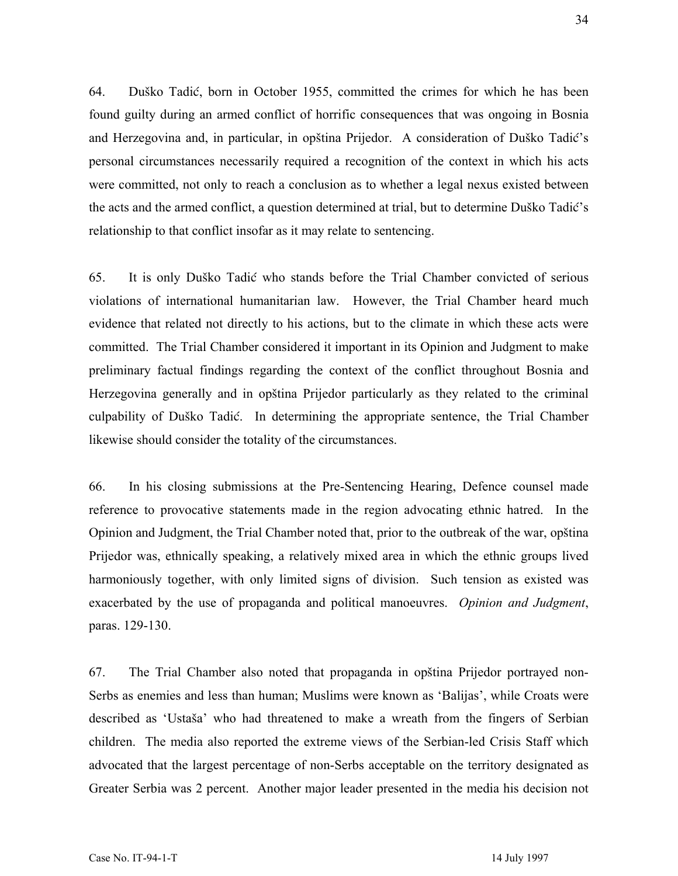64. Duško Tadić, born in October 1955, committed the crimes for which he has been found guilty during an armed conflict of horrific consequences that was ongoing in Bosnia and Herzegovina and, in particular, in opština Prijedor. A consideration of Duško Tadić's personal circumstances necessarily required a recognition of the context in which his acts were committed, not only to reach a conclusion as to whether a legal nexus existed between the acts and the armed conflict, a question determined at trial, but to determine Duško Tadić's relationship to that conflict insofar as it may relate to sentencing.

65. It is only Duško Tadić who stands before the Trial Chamber convicted of serious violations of international humanitarian law. However, the Trial Chamber heard much evidence that related not directly to his actions, but to the climate in which these acts were committed. The Trial Chamber considered it important in its Opinion and Judgment to make preliminary factual findings regarding the context of the conflict throughout Bosnia and Herzegovina generally and in opština Prijedor particularly as they related to the criminal culpability of Duško Tadić. In determining the appropriate sentence, the Trial Chamber likewise should consider the totality of the circumstances.

66. In his closing submissions at the Pre-Sentencing Hearing, Defence counsel made reference to provocative statements made in the region advocating ethnic hatred. In the Opinion and Judgment, the Trial Chamber noted that, prior to the outbreak of the war, op<sub>stina</sub> Prijedor was, ethnically speaking, a relatively mixed area in which the ethnic groups lived harmoniously together, with only limited signs of division. Such tension as existed was exacerbated by the use of propaganda and political manoeuvres. *Opinion and Judgment*, paras. 129-130.

67. The Trial Chamber also noted that propaganda in opština Prijedor portrayed non-Serbs as enemies and less than human; Muslims were known as 'Balijas', while Croats were described as 'Ustaša' who had threatened to make a wreath from the fingers of Serbian children. The media also reported the extreme views of the Serbian-led Crisis Staff which advocated that the largest percentage of non-Serbs acceptable on the territory designated as Greater Serbia was 2 percent. Another major leader presented in the media his decision not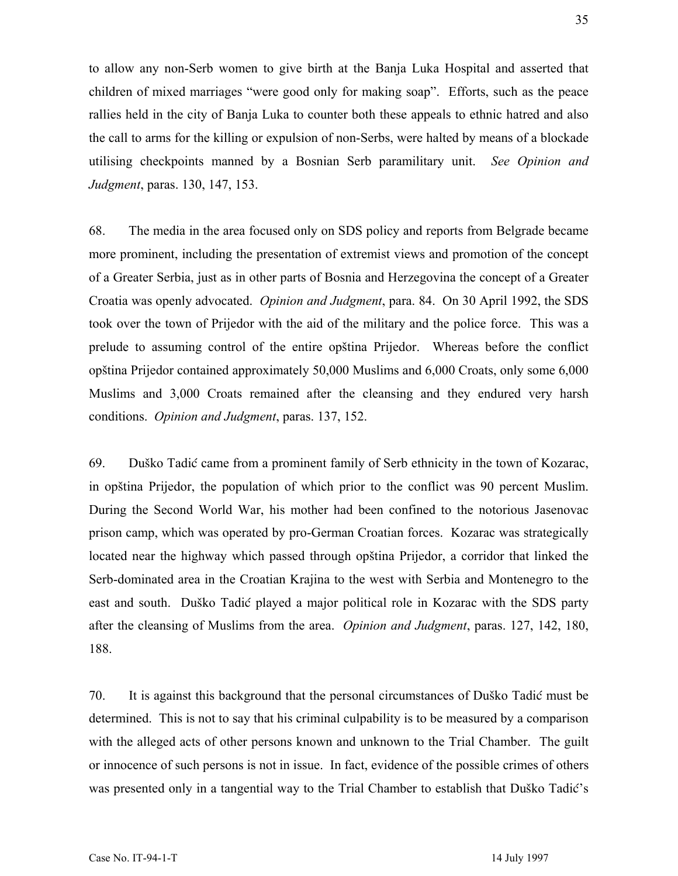to allow any non-Serb women to give birth at the Banja Luka Hospital and asserted that children of mixed marriages "were good only for making soap". Efforts, such as the peace rallies held in the city of Banja Luka to counter both these appeals to ethnic hatred and also the call to arms for the killing or expulsion of non-Serbs, were halted by means of a blockade utilising checkpoints manned by a Bosnian Serb paramilitary unit. *See Opinion and Judgment*, paras. 130, 147, 153.

68. The media in the area focused only on SDS policy and reports from Belgrade became more prominent, including the presentation of extremist views and promotion of the concept of a Greater Serbia, just as in other parts of Bosnia and Herzegovina the concept of a Greater Croatia was openly advocated. *Opinion and Judgment*, para. 84. On 30 April 1992, the SDS took over the town of Prijedor with the aid of the military and the police force. This was a prelude to assuming control of the entire op{tina Prijedor. Whereas before the conflict opština Prijedor contained approximately 50,000 Muslims and 6,000 Croats, only some 6,000 Muslims and 3,000 Croats remained after the cleansing and they endured very harsh conditions. *Opinion and Judgment*, paras. 137, 152.

69. Duško Tadić came from a prominent family of Serb ethnicity in the town of Kozarac, in op<sub>st</sub>ina Prijedor, the population of which prior to the conflict was 90 percent Muslim. During the Second World War, his mother had been confined to the notorious Jasenovac prison camp, which was operated by pro-German Croatian forces. Kozarac was strategically located near the highway which passed through op<sub>s</sub>tina Prijedor, a corridor that linked the Serb-dominated area in the Croatian Krajina to the west with Serbia and Montenegro to the east and south. Duško Tadić played a major political role in Kozarac with the SDS party after the cleansing of Muslims from the area. *Opinion and Judgment*, paras. 127, 142, 180, 188.

70. It is against this background that the personal circumstances of Duško Tadić must be determined. This is not to say that his criminal culpability is to be measured by a comparison with the alleged acts of other persons known and unknown to the Trial Chamber. The guilt or innocence of such persons is not in issue. In fact, evidence of the possible crimes of others was presented only in a tangential way to the Trial Chamber to establish that Duško Tadić's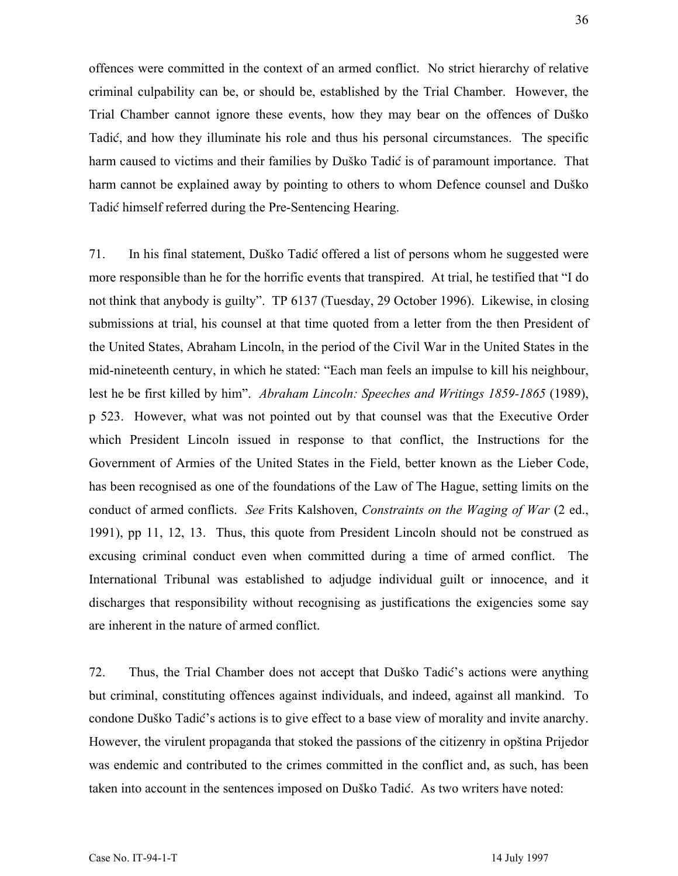offences were committed in the context of an armed conflict. No strict hierarchy of relative criminal culpability can be, or should be, established by the Trial Chamber. However, the Trial Chamber cannot ignore these events, how they may bear on the offences of Duško Tadić, and how they illuminate his role and thus his personal circumstances. The specific harm caused to victims and their families by Duško Tadić is of paramount importance. That harm cannot be explained away by pointing to others to whom Defence counsel and Duško Tadić himself referred during the Pre-Sentencing Hearing.

71. In his final statement, Duško Tadić offered a list of persons whom he suggested were more responsible than he for the horrific events that transpired. At trial, he testified that "I do not think that anybody is guilty". TP 6137 (Tuesday, 29 October 1996). Likewise, in closing submissions at trial, his counsel at that time quoted from a letter from the then President of the United States, Abraham Lincoln, in the period of the Civil War in the United States in the mid-nineteenth century, in which he stated: "Each man feels an impulse to kill his neighbour, lest he be first killed by him". *Abraham Lincoln: Speeches and Writings 1859-1865* (1989), p 523. However, what was not pointed out by that counsel was that the Executive Order which President Lincoln issued in response to that conflict, the Instructions for the Government of Armies of the United States in the Field, better known as the Lieber Code, has been recognised as one of the foundations of the Law of The Hague, setting limits on the conduct of armed conflicts. *See* Frits Kalshoven, *Constraints on the Waging of War* (2 ed., 1991), pp 11, 12, 13. Thus, this quote from President Lincoln should not be construed as excusing criminal conduct even when committed during a time of armed conflict. The International Tribunal was established to adjudge individual guilt or innocence, and it discharges that responsibility without recognising as justifications the exigencies some say are inherent in the nature of armed conflict.

72. Thus, the Trial Chamber does not accept that Duško Tadić's actions were anything but criminal, constituting offences against individuals, and indeed, against all mankind. To condone Duško Tadić's actions is to give effect to a base view of morality and invite anarchy. However, the virulent propaganda that stoked the passions of the citizenry in opština Prijedor was endemic and contributed to the crimes committed in the conflict and, as such, has been taken into account in the sentences imposed on Duško Tadić. As two writers have noted: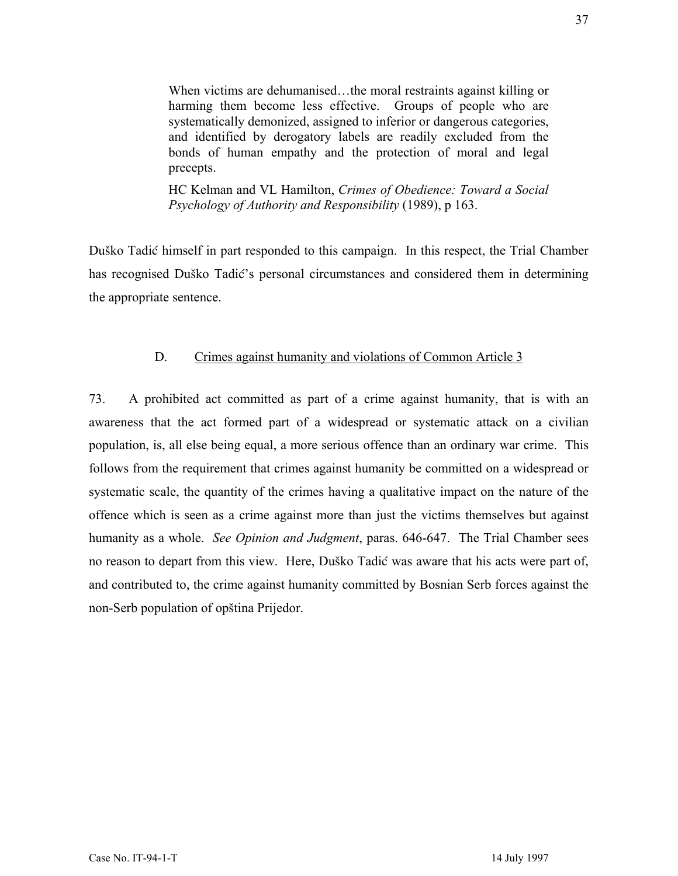When victims are dehumanised...the moral restraints against killing or harming them become less effective. Groups of people who are systematically demonized, assigned to inferior or dangerous categories, and identified by derogatory labels are readily excluded from the bonds of human empathy and the protection of moral and legal precepts.

HC Kelman and VL Hamilton, *Crimes of Obedience: Toward a Social Psychology of Authority and Responsibility* (1989), p 163.

Duško Tadić himself in part responded to this campaign. In this respect, the Trial Chamber has recognised Duško Tadić's personal circumstances and considered them in determining the appropriate sentence.

### D. Crimes against humanity and violations of Common Article 3

73. A prohibited act committed as part of a crime against humanity, that is with an awareness that the act formed part of a widespread or systematic attack on a civilian population, is, all else being equal, a more serious offence than an ordinary war crime. This follows from the requirement that crimes against humanity be committed on a widespread or systematic scale, the quantity of the crimes having a qualitative impact on the nature of the offence which is seen as a crime against more than just the victims themselves but against humanity as a whole. *See Opinion and Judgment*, paras. 646-647. The Trial Chamber sees no reason to depart from this view. Here, Duško Tadić was aware that his acts were part of, and contributed to, the crime against humanity committed by Bosnian Serb forces against the non-Serb population of opština Prijedor.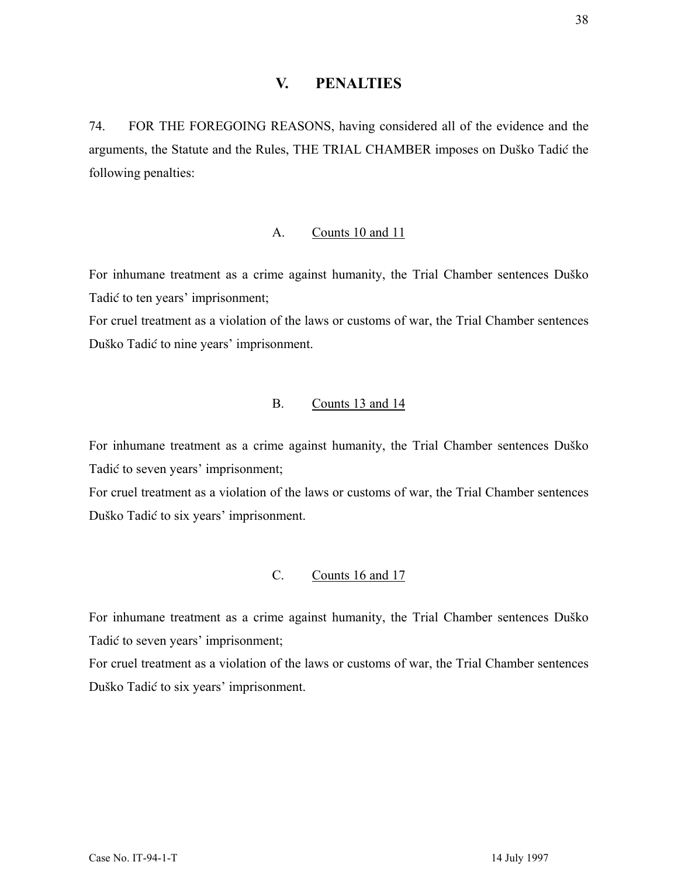### **V. PENALTIES**

74. FOR THE FOREGOING REASONS, having considered all of the evidence and the arguments, the Statute and the Rules, THE TRIAL CHAMBER imposes on Duško Tadić the following penalties:

### A. Counts 10 and 11

For inhumane treatment as a crime against humanity, the Trial Chamber sentences Duško Tadić to ten years' imprisonment;

For cruel treatment as a violation of the laws or customs of war, the Trial Chamber sentences Duško Tadić to nine years' imprisonment.

### B. Counts 13 and 14

For inhumane treatment as a crime against humanity, the Trial Chamber sentences Duško Tadić to seven years' imprisonment;

For cruel treatment as a violation of the laws or customs of war, the Trial Chamber sentences Duško Tadić to six years' imprisonment.

### C. Counts 16 and 17

For inhumane treatment as a crime against humanity, the Trial Chamber sentences Duško Tadić to seven years' imprisonment;

For cruel treatment as a violation of the laws or customs of war, the Trial Chamber sentences Duško Tadić to six years' imprisonment.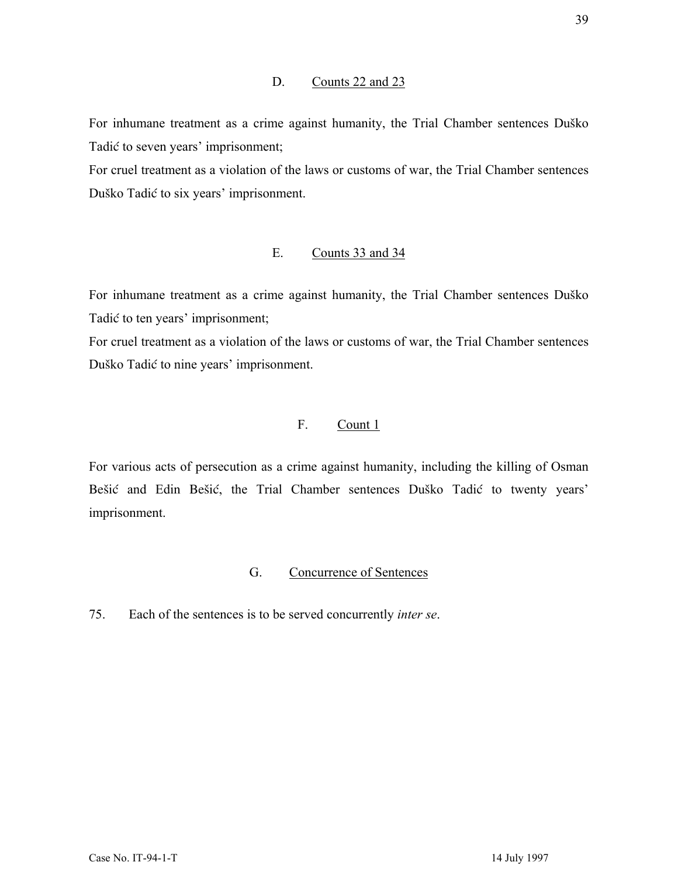### D. Counts 22 and 23

For inhumane treatment as a crime against humanity, the Trial Chamber sentences Duško Tadić to seven years' imprisonment;

For cruel treatment as a violation of the laws or customs of war, the Trial Chamber sentences Duško Tadić to six years' imprisonment.

### E. Counts 33 and 34

For inhumane treatment as a crime against humanity, the Trial Chamber sentences Duško Tadić to ten years' imprisonment;

For cruel treatment as a violation of the laws or customs of war, the Trial Chamber sentences Duško Tadić to nine years' imprisonment.

### F. Count 1

For various acts of persecution as a crime against humanity, including the killing of Osman Bešić and Edin Bešić, the Trial Chamber sentences Duško Tadić to twenty years' imprisonment.

### G. Concurrence of Sentences

75. Each of the sentences is to be served concurrently *inter se*.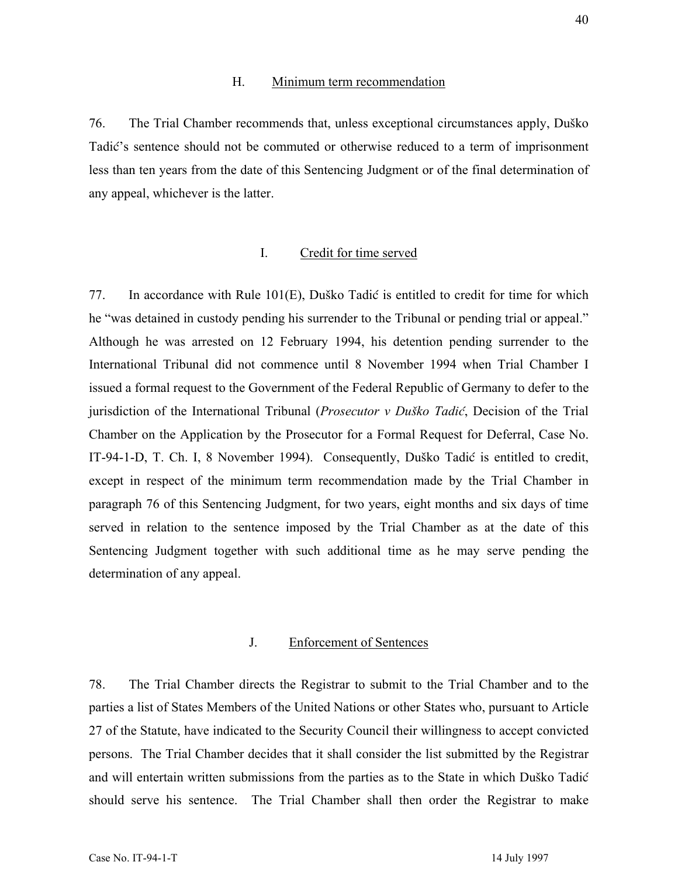### H. Minimum term recommendation

76. The Trial Chamber recommends that, unless exceptional circumstances apply, Duško Tadić's sentence should not be commuted or otherwise reduced to a term of imprisonment less than ten years from the date of this Sentencing Judgment or of the final determination of any appeal, whichever is the latter.

### I. Credit for time served

77. In accordance with Rule 101(E), Duško Tadić is entitled to credit for time for which he "was detained in custody pending his surrender to the Tribunal or pending trial or appeal." Although he was arrested on 12 February 1994, his detention pending surrender to the International Tribunal did not commence until 8 November 1994 when Trial Chamber I issued a formal request to the Government of the Federal Republic of Germany to defer to the jurisdiction of the International Tribunal (*Prosecutor v Du{ko Tadi}*, Decision of the Trial Chamber on the Application by the Prosecutor for a Formal Request for Deferral, Case No. IT-94-1-D, T. Ch. I, 8 November 1994). Consequently, Duško Tadić is entitled to credit, except in respect of the minimum term recommendation made by the Trial Chamber in paragraph 76 of this Sentencing Judgment, for two years, eight months and six days of time served in relation to the sentence imposed by the Trial Chamber as at the date of this Sentencing Judgment together with such additional time as he may serve pending the determination of any appeal.

### J. Enforcement of Sentences

78. The Trial Chamber directs the Registrar to submit to the Trial Chamber and to the parties a list of States Members of the United Nations or other States who, pursuant to Article 27 of the Statute, have indicated to the Security Council their willingness to accept convicted persons. The Trial Chamber decides that it shall consider the list submitted by the Registrar and will entertain written submissions from the parties as to the State in which Duško Tadić should serve his sentence. The Trial Chamber shall then order the Registrar to make